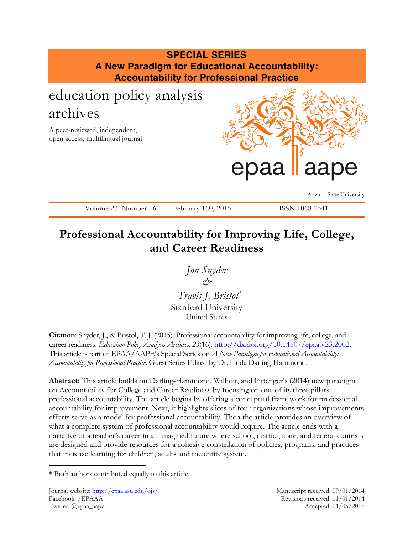# **SPECIAL SERIES A New Paradigm for Educational Accountability: Accountability for Professional Practice** education policy analysis archives A peer-reviewed, independent, open access, multilingual journal Arizona State University Volume 23 Number 16 February 16th, 2015 ISSN 1068-2341 epaa laape

# **Professional Accountability for Improving Life, College, and Career Readiness**

*Jon Snyder &*

*Travis J. Bristol*<sup>∗</sup> Stanford University United States

**Citation**: Snyder, J., & Bristol, T. J. (2015). Professional accountability for improving life, college, and career readiness. *Education Policy Analysis Archives, 23*(16). http://dx.doi.org/10.14507/epaa.v23.2002. This article is part of EPAA/AAPE's Special Series on *A New Paradigm for Educational Accountability: Accountability for Professional Practice*. Guest Series Edited by Dr. Linda Darling-Hammond.

**Abstract:** This article builds on Darling-Hammond, Wilhoit, and Pittenger's (2014) new paradigm on Accountability for College and Career Readiness by focusing on one of its three pillars professional accountability. The article begins by offering a conceptual framework for professional accountability for improvement. Next, it highlights slices of four organizations whose improvements efforts serve as a model for professional accountability. Then the article provides an overview of what a complete system of professional accountability would require. The article ends with a narrative of a teacher's career in an imagined future where school, district, state, and federal contexts are designed and provide resources for a cohesive constellation of policies, programs, and practices that increase learning for children, adults and the entire system.

 $\overline{a}$ 

**<sup>\*</sup>** Both authors contributed equally to this article.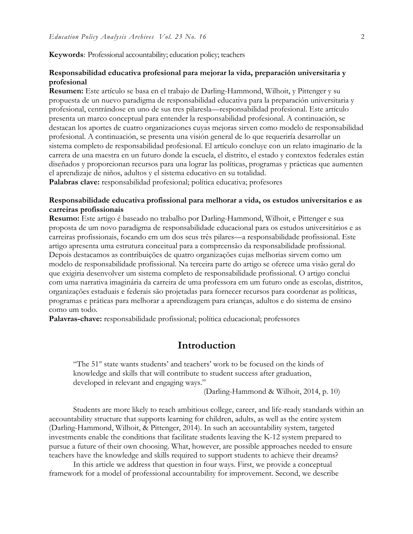#### **Keywords**: Professional accountability; education policy; teachers

## **Responsabilidad educativa profesional para mejorar la vida, preparación universitaria y profesional**

**Resumen:** Este artículo se basa en el trabajo de Darling-Hammond, Wilhoit, y Pittenger y su propuesta de un nuevo paradigma de responsabilidad educativa para la preparación universitaria y profesional, centrándose en uno de sus tres pilaresla—responsabilidad profesional. Este artículo presenta un marco conceptual para entender la responsabilidad profesional. A continuación, se destacan los aportes de cuatro organizaciones cuyas mejoras sirven como modelo de responsabilidad profesional. A continuación, se presenta una visión general de lo que requeriría desarrollar un sistema completo de responsabilidad profesional. El artículo concluye con un relato imaginario de la carrera de una maestra en un futuro donde la escuela, el distrito, el estado y contextos federales están diseñados y proporcionan recursos para una lograr las políticas, programas y prácticas que aumenten el aprendizaje de niños, adultos y el sistema educativo en su totalidad.

**Palabras clave:** responsabilidad profesional; política educativa; profesores

## **Responsabilidade educativa profissional para melhorar a vida, os estudos universitarios e as carreiras profissionais**

**Resumo:** Este artigo é baseado no trabalho por Darling-Hammond, Wilhoit, e Pittenger e sua proposta de um novo paradigma de responsabilidade educacional para os estudos universitários e as carreiras profissionais, focando em um dos seus três pilares—a responsabilidade profissional. Este artigo apresenta uma estrutura conceitual para a compreensão da responsabilidade profissional. Depois destacamos as contribuições de quatro organizações cujas melhorias sirvem como um modelo de responsabilidade profissional. Na terceira parte do artigo se oferece uma visão geral do que exigiria desenvolver um sistema completo de responsabilidade profissional. O artigo conclui com uma narrativa imaginária da carreira de uma professora em um futuro onde as escolas, distritos, organizações estaduais e federais são projetadas para fornecer recursos para coordenar as políticas, programas e práticas para melhorar a aprendizagem para crianças, adultos e do sistema de ensino como um todo.

**Palavras-chave:** responsabilidade profissional; política educacional; professores

## **Introduction**

"The 51<sup>st</sup> state wants students' and teachers' work to be focused on the kinds of knowledge and skills that will contribute to student success after graduation, developed in relevant and engaging ways."

(Darling-Hammond & Wilhoit, 2014, p. 10)

Students are more likely to reach ambitious college, career, and life-ready standards within an accountability structure that supports learning for children, adults, as well as the entire system (Darling-Hammond, Wilhoit, & Pittenger, 2014). In such an accountability system, targeted investments enable the conditions that facilitate students leaving the K-12 system prepared to pursue a future of their own choosing. What, however, are possible approaches needed to ensure teachers have the knowledge and skills required to support students to achieve their dreams?

In this article we address that question in four ways. First, we provide a conceptual framework for a model of professional accountability for improvement. Second, we describe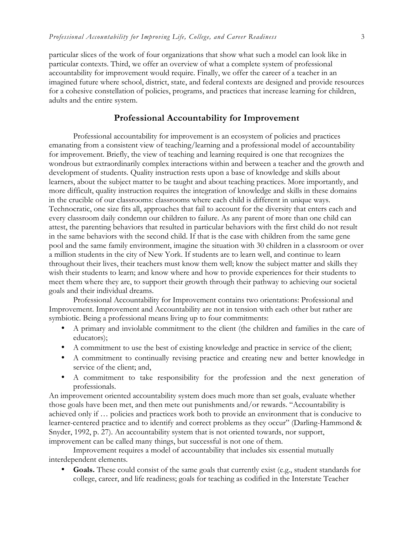particular slices of the work of four organizations that show what such a model can look like in particular contexts. Third, we offer an overview of what a complete system of professional accountability for improvement would require. Finally, we offer the career of a teacher in an imagined future where school, district, state, and federal contexts are designed and provide resources for a cohesive constellation of policies, programs, and practices that increase learning for children, adults and the entire system.

## **Professional Accountability for Improvement**

Professional accountability for improvement is an ecosystem of policies and practices emanating from a consistent view of teaching/learning and a professional model of accountability for improvement. Briefly, the view of teaching and learning required is one that recognizes the wondrous but extraordinarily complex interactions within and between a teacher and the growth and development of students. Quality instruction rests upon a base of knowledge and skills about learners, about the subject matter to be taught and about teaching practices. More importantly, and more difficult, quality instruction requires the integration of knowledge and skills in these domains in the crucible of our classrooms: classrooms where each child is different in unique ways. Technocratic, one size fits all, approaches that fail to account for the diversity that enters each and every classroom daily condemn our children to failure. As any parent of more than one child can attest, the parenting behaviors that resulted in particular behaviors with the first child do not result in the same behaviors with the second child. If that is the case with children from the same gene pool and the same family environment, imagine the situation with 30 children in a classroom or over a million students in the city of New York. If students are to learn well, and continue to learn throughout their lives, their teachers must know them well; know the subject matter and skills they wish their students to learn; and know where and how to provide experiences for their students to meet them where they are, to support their growth through their pathway to achieving our societal goals and their individual dreams.

Professional Accountability for Improvement contains two orientations: Professional and Improvement. Improvement and Accountability are not in tension with each other but rather are symbiotic. Being a professional means living up to four commitments:

- A primary and inviolable commitment to the client (the children and families in the care of educators);
- A commitment to use the best of existing knowledge and practice in service of the client;
- A commitment to continually revising practice and creating new and better knowledge in service of the client; and,
- A commitment to take responsibility for the profession and the next generation of professionals.

An improvement oriented accountability system does much more than set goals, evaluate whether those goals have been met, and then mete out punishments and/or rewards. "Accountability is achieved only if … policies and practices work both to provide an environment that is conducive to learner-centered practice and to identify and correct problems as they occur" (Darling-Hammond & Snyder, 1992, p. 27). An accountability system that is not oriented towards, nor support, improvement can be called many things, but successful is not one of them.

Improvement requires a model of accountability that includes six essential mutually interdependent elements.

• **Goals.** These could consist of the same goals that currently exist (e.g., student standards for college, career, and life readiness; goals for teaching as codified in the Interstate Teacher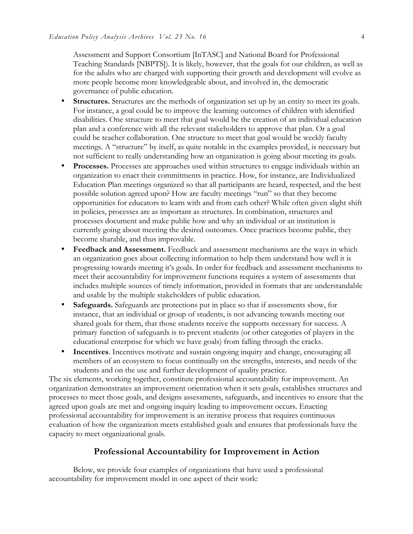Assessment and Support Consortium [InTASC] and National Board for Professional Teaching Standards [NBPTS]). It is likely, however, that the goals for our children, as well as for the adults who are charged with supporting their growth and development will evolve as more people become more knowledgeable about, and involved in, the democratic governance of public education.

- **Structures.** Structures are the methods of organization set up by an entity to meet its goals. For instance, a goal could be to improve the learning outcomes of children with identified disabilities. One structure to meet that goal would be the creation of an individual education plan and a conference with all the relevant stakeholders to approve that plan. Or a goal could be teacher collaboration. One structure to meet that goal would be weekly faculty meetings. A "structure" by itself, as quite notable in the examples provided, is necessary but not sufficient to really understanding how an organization is going about meeting its goals.
- **Processes.** Processes are approaches used within structures to engage individuals within an organization to enact their commitments in practice. How, for instance, are Individualized Education Plan meetings organized so that all participants are heard, respected, and the best possible solution agreed upon? How are faculty meetings "run" so that they become opportunities for educators to learn with and from each other? While often given slight shift in policies, processes are as important as structures. In combination, structures and processes document and make public how and why an individual or an institution is currently going about meeting the desired outcomes. Once practices become public, they become sharable, and thus improvable.
- **Feedback and Assessment.** Feedback and assessment mechanisms are the ways in which an organization goes about collecting information to help them understand how well it is progressing towards meeting it's goals. In order for feedback and assessment mechanisms to meet their accountability for improvement functions requires a system of assessments that includes multiple sources of timely information, provided in formats that are understandable and usable by the multiple stakeholders of public education.
- **Safeguards.** Safeguards are protections put in place so that if assessments show, for instance, that an individual or group of students, is not advancing towards meeting our shared goals for them, that those students receive the supports necessary for success. A primary function of safeguards is to prevent students (or other categories of players in the educational enterprise for which we have goals) from falling through the cracks.
- **Incentives**. Incentives motivate and sustain ongoing inquiry and change, encouraging all members of an ecosystem to focus continually on the strengths, interests, and needs of the students and on the use and further development of quality practice.

The six elements, working together, constitute professional accountability for improvement. An organization demonstrates an improvement orientation when it sets goals, establishes structures and processes to meet those goals, and designs assessments, safeguards, and incentives to ensure that the agreed upon goals are met and ongoing inquiry leading to improvement occurs. Enacting professional accountability for improvement is an iterative process that requires continuous evaluation of how the organization meets established goals and ensures that professionals have the capacity to meet organizational goals.

## **Professional Accountability for Improvement in Action**

Below, we provide four examples of organizations that have used a professional accountability for improvement model in one aspect of their work: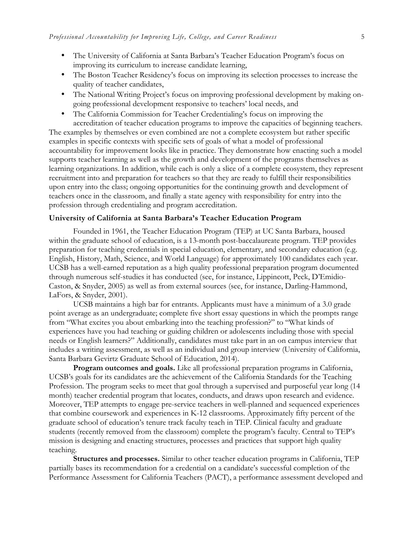- The University of California at Santa Barbara's Teacher Education Program's focus on improving its curriculum to increase candidate learning,
- The Boston Teacher Residency's focus on improving its selection processes to increase the quality of teacher candidates,
- The National Writing Project's focus on improving professional development by making ongoing professional development responsive to teachers' local needs, and
- The California Commission for Teacher Credentialing's focus on improving the accreditation of teacher education programs to improve the capacities of beginning teachers.

The examples by themselves or even combined are not a complete ecosystem but rather specific examples in specific contexts with specific sets of goals of what a model of professional accountability for improvement looks like in practice. They demonstrate how enacting such a model supports teacher learning as well as the growth and development of the programs themselves as learning organizations. In addition, while each is only a slice of a complete ecosystem, they represent recruitment into and preparation for teachers so that they are ready to fulfill their responsibilities upon entry into the class; ongoing opportunities for the continuing growth and development of teachers once in the classroom, and finally a state agency with responsibility for entry into the profession through credentialing and program accreditation.

#### **University of California at Santa Barbara's Teacher Education Program**

Founded in 1961, the Teacher Education Program (TEP) at UC Santa Barbara, housed within the graduate school of education, is a 13-month post-baccalaureate program. TEP provides preparation for teaching credentials in special education, elementary, and secondary education (e.g. English, History, Math, Science, and World Language) for approximately 100 candidates each year. UCSB has a well-earned reputation as a high quality professional preparation program documented through numerous self-studies it has conducted (see, for instance, Lippincott, Peck, D'Emidio-Caston, & Snyder, 2005) as well as from external sources (see, for instance, Darling-Hammond, LaFors, & Snyder, 2001).

UCSB maintains a high bar for entrants. Applicants must have a minimum of a 3.0 grade point average as an undergraduate; complete five short essay questions in which the prompts range from "What excites you about embarking into the teaching profession?" to "What kinds of experiences have you had teaching or guiding children or adolescents including those with special needs or English learners?" Additionally, candidates must take part in an on campus interview that includes a writing assessment, as well as an individual and group interview (University of California, Santa Barbara Gevirtz Graduate School of Education, 2014).

**Program outcomes and goals.** Like all professional preparation programs in California, UCSB's goals for its candidates are the achievement of the California Standards for the Teaching Profession. The program seeks to meet that goal through a supervised and purposeful year long (14 month) teacher credential program that locates, conducts, and draws upon research and evidence. Moreover, TEP attempts to engage pre-service teachers in well-planned and sequenced experiences that combine coursework and experiences in K-12 classrooms. Approximately fifty percent of the graduate school of education's tenure track faculty teach in TEP. Clinical faculty and graduate students (recently removed from the classroom) complete the program's faculty. Central to TEP's mission is designing and enacting structures, processes and practices that support high quality teaching.

**Structures and processes.** Similar to other teacher education programs in California, TEP partially bases its recommendation for a credential on a candidate's successful completion of the Performance Assessment for California Teachers (PACT), a performance assessment developed and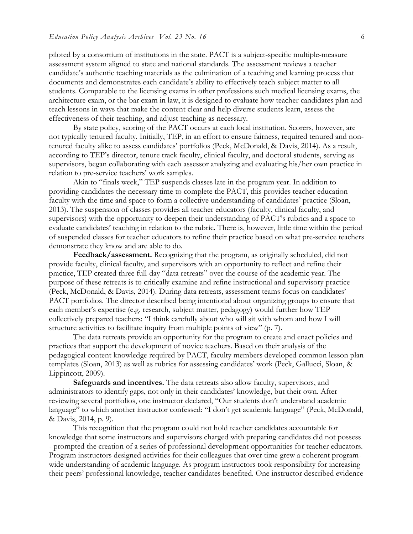piloted by a consortium of institutions in the state. PACT is a subject-specific multiple-measure assessment system aligned to state and national standards. The assessment reviews a teacher candidate's authentic teaching materials as the culmination of a teaching and learning process that documents and demonstrates each candidate's ability to effectively teach subject matter to all students. Comparable to the licensing exams in other professions such medical licensing exams, the architecture exam, or the bar exam in law, it is designed to evaluate how teacher candidates plan and teach lessons in ways that make the content clear and help diverse students learn, assess the effectiveness of their teaching, and adjust teaching as necessary.

By state policy, scoring of the PACT occurs at each local institution. Scorers, however, are not typically tenured faculty. Initially, TEP, in an effort to ensure fairness, required tenured and nontenured faculty alike to assess candidates' portfolios (Peck, McDonald, & Davis, 2014). As a result, according to TEP's director, tenure track faculty, clinical faculty, and doctoral students, serving as supervisors, began collaborating with each assessor analyzing and evaluating his/her own practice in relation to pre-service teachers' work samples.

Akin to "finals week," TEP suspends classes late in the program year. In addition to providing candidates the necessary time to complete the PACT, this provides teacher education faculty with the time and space to form a collective understanding of candidates' practice (Sloan, 2013). The suspension of classes provides all teacher educators (faculty, clinical faculty, and supervisors) with the opportunity to deepen their understanding of PACT's rubrics and a space to evaluate candidates' teaching in relation to the rubric. There is, however, little time within the period of suspended classes for teacher educators to refine their practice based on what pre-service teachers demonstrate they know and are able to do.

**Feedback/assessment.** Recognizing that the program, as originally scheduled, did not provide faculty, clinical faculty, and supervisors with an opportunity to reflect and refine their practice, TEP created three full-day "data retreats" over the course of the academic year. The purpose of these retreats is to critically examine and refine instructional and supervisory practice (Peck, McDonald, & Davis, 2014). During data retreats, assessment teams focus on candidates' PACT portfolios. The director described being intentional about organizing groups to ensure that each member's expertise (e.g. research, subject matter, pedagogy) would further how TEP collectively prepared teachers: "I think carefully about who will sit with whom and how I will structure activities to facilitate inquiry from multiple points of view" (p. 7).

The data retreats provide an opportunity for the program to create and enact policies and practices that support the development of novice teachers. Based on their analysis of the pedagogical content knowledge required by PACT, faculty members developed common lesson plan templates (Sloan, 2013) as well as rubrics for assessing candidates' work (Peck, Gallucci, Sloan, & Lippincott, 2009).

**Safeguards and incentives.** The data retreats also allow faculty, supervisors, and administrators to identify gaps, not only in their candidates' knowledge, but their own. After reviewing several portfolios, one instructor declared, "Our students don't understand academic language" to which another instructor confessed: "I don't get academic language" (Peck, McDonald, & Davis, 2014, p. 9).

This recognition that the program could not hold teacher candidates accountable for knowledge that some instructors and supervisors charged with preparing candidates did not possess - prompted the creation of a series of professional development opportunities for teacher educators. Program instructors designed activities for their colleagues that over time grew a coherent programwide understanding of academic language. As program instructors took responsibility for increasing their peers' professional knowledge, teacher candidates benefited. One instructor described evidence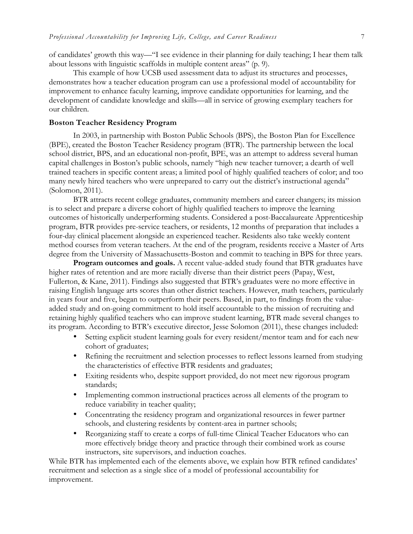of candidates' growth this way—"I see evidence in their planning for daily teaching; I hear them talk about lessons with linguistic scaffolds in multiple content areas" (p. 9).

This example of how UCSB used assessment data to adjust its structures and processes, demonstrates how a teacher education program can use a professional model of accountability for improvement to enhance faculty learning, improve candidate opportunities for learning, and the development of candidate knowledge and skills—all in service of growing exemplary teachers for our children.

## **Boston Teacher Residency Program**

In 2003, in partnership with Boston Public Schools (BPS), the Boston Plan for Excellence (BPE), created the Boston Teacher Residency program (BTR). The partnership between the local school district, BPS, and an educational non-profit, BPE, was an attempt to address several human capital challenges in Boston's public schools, namely "high new teacher turnover; a dearth of well trained teachers in specific content areas; a limited pool of highly qualified teachers of color; and too many newly hired teachers who were unprepared to carry out the district's instructional agenda" (Solomon, 2011).

BTR attracts recent college graduates, community members and career changers; its mission is to select and prepare a diverse cohort of highly qualified teachers to improve the learning outcomes of historically underperforming students. Considered a post-Baccalaureate Apprenticeship program, BTR provides pre-service teachers, or residents, 12 months of preparation that includes a four-day clinical placement alongside an experienced teacher. Residents also take weekly content method courses from veteran teachers. At the end of the program, residents receive a Master of Arts degree from the University of Massachusetts-Boston and commit to teaching in BPS for three years.

**Program outcomes and goals.** A recent value-added study found that BTR graduates have higher rates of retention and are more racially diverse than their district peers (Papay, West, Fullerton, & Kane, 2011). Findings also suggested that BTR's graduates were no more effective in raising English language arts scores than other district teachers. However, math teachers, particularly in years four and five, began to outperform their peers. Based, in part, to findings from the valueadded study and on-going commitment to hold itself accountable to the mission of recruiting and retaining highly qualified teachers who can improve student learning, BTR made several changes to its program. According to BTR's executive director, Jesse Solomon (2011), these changes included:

- Setting explicit student learning goals for every resident/mentor team and for each new cohort of graduates;
- Refining the recruitment and selection processes to reflect lessons learned from studying the characteristics of effective BTR residents and graduates;
- Exiting residents who, despite support provided, do not meet new rigorous program standards;
- Implementing common instructional practices across all elements of the program to reduce variability in teacher quality;
- Concentrating the residency program and organizational resources in fewer partner schools, and clustering residents by content-area in partner schools;
- Reorganizing staff to create a corps of full-time Clinical Teacher Educators who can more effectively bridge theory and practice through their combined work as course instructors, site supervisors, and induction coaches.

While BTR has implemented each of the elements above, we explain how BTR refined candidates' recruitment and selection as a single slice of a model of professional accountability for improvement.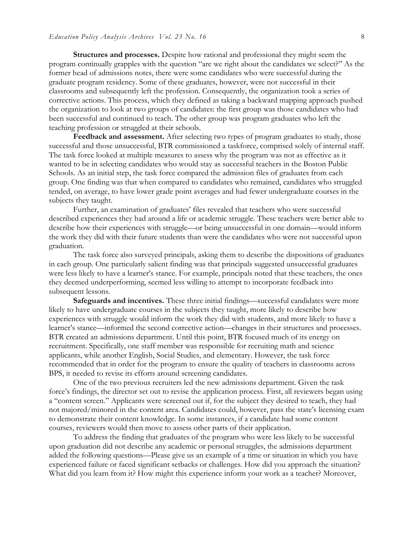**Structures and processes.** Despite how rational and professional they might seem the program continually grapples with the question "are we right about the candidates we select?" As the former head of admissions notes, there were some candidates who were successful during the graduate program residency. Some of these graduates, however, were not successful in their classrooms and subsequently left the profession. Consequently, the organization took a series of corrective actions. This process, which they defined as taking a backward mapping approach pushed the organization to look at two groups of candidates: the first group was those candidates who had been successful and continued to teach. The other group was program graduates who left the teaching profession or struggled at their schools.

**Feedback and assessment.** After selecting two types of program graduates to study, those successful and those unsuccessful, BTR commissioned a taskforce, comprised solely of internal staff. The task force looked at multiple measures to assess why the program was not as effective as it wanted to be in selecting candidates who would stay as successful teachers in the Boston Public Schools. As an initial step, the task force compared the admission files of graduates from each group. One finding was that when compared to candidates who remained, candidates who struggled tended, on average, to have lower grade point averages and had fewer undergraduate courses in the subjects they taught.

Further, an examination of graduates' files revealed that teachers who were successful described experiences they had around a life or academic struggle. These teachers were better able to describe how their experiences with struggle—or being unsuccessful in one domain—would inform the work they did with their future students than were the candidates who were not successful upon graduation.

The task force also surveyed principals, asking them to describe the dispositions of graduates in each group. One particularly salient finding was that principals suggested unsuccessful graduates were less likely to have a learner's stance. For example, principals noted that these teachers, the ones they deemed underperforming, seemed less willing to attempt to incorporate feedback into subsequent lessons.

**Safeguards and incentives.** These three initial findings—successful candidates were more likely to have undergraduate courses in the subjects they taught, more likely to describe how experiences with struggle would inform the work they did with students, and more likely to have a learner's stance—informed the second corrective action—changes in their structures and processes. BTR created an admissions department. Until this point, BTR focused much of its energy on recruitment. Specifically, one staff member was responsible for recruiting math and science applicants, while another English, Social Studies, and elementary. However, the task force recommended that in order for the program to ensure the quality of teachers in classrooms across BPS, it needed to revise its efforts around screening candidates.

One of the two previous recruiters led the new admissions department. Given the task force's findings, the director set out to revise the application process. First, all reviewers began using a "content screen." Applicants were screened out if, for the subject they desired to teach, they had not majored/minored in the content area. Candidates could, however, pass the state's licensing exam to demonstrate their content knowledge. In some instances, if a candidate had some content courses, reviewers would then move to assess other parts of their application.

To address the finding that graduates of the program who were less likely to be successful upon graduation did not describe any academic or personal struggles, the admissions department added the following questions—Please give us an example of a time or situation in which you have experienced failure or faced significant setbacks or challenges. How did you approach the situation? What did you learn from it? How might this experience inform your work as a teacher? Moreover,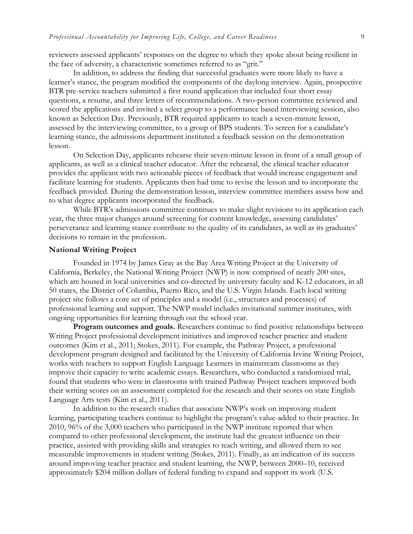reviewers assessed applicants' responses on the degree to which they spoke about being resilient in the face of adversity, a characteristic sometimes referred to as "grit."

In addition, to address the finding that successful graduates were more likely to have a learner's stance, the program modified the components of the daylong interview. Again, prospective BTR pre-service teachers submitted a first round application that included four short essay questions, a resume, and three letters of recommendations. A two-person committee reviewed and scored the applications and invited a select group to a performance based interviewing session, also known as Selection Day. Previously, BTR required applicants to teach a seven-minute lesson, assessed by the interviewing committee, to a group of BPS students. To screen for a candidate's learning stance, the admissions department instituted a feedback session on the demonstration lesson.

On Selection Day, applicants rehearse their seven-minute lesson in front of a small group of applicants, as well as a clinical teacher educator. After the rehearsal, the clinical teacher educator provides the applicant with two actionable pieces of feedback that would increase engagement and facilitate learning for students. Applicants then had time to revise the lesson and to incorporate the feedback provided. During the demonstration lesson, interview committee members assess how and to what degree applicants incorporated the feedback.

While BTR's admissions committee continues to make slight revisions to its application each year, the three major changes around screening for content knowledge, assessing candidates' perseverance and learning stance contribute to the quality of its candidates, as well as its graduates' decisions to remain in the profession.

#### **National Writing Project**

Founded in 1974 by James Gray as the Bay Area Writing Project at the University of California, Berkeley, the National Writing Project (NWP) is now comprised of nearly 200 sites, which are housed in local universities and co-directed by university faculty and K-12 educators, in all 50 states, the District of Columbia, Puerto Rico, and the U.S. Virgin Islands. Each local writing project site follows a core set of principles and a model (i.e., structures and processes) of professional learning and support. The NWP model includes invitational summer institutes, with ongoing opportunities for learning through out the school year.

**Program outcomes and goals.** Researchers continue to find positive relationships between Writing Project professional development initiatives and improved teacher practice and student outcomes (Kim et al., 2011; Stokes, 2011). For example, the Pathway Project, a professional development program designed and facilitated by the University of California Irvine Writing Project, works with teachers to support English Language Learners in mainstream classrooms as they improve their capacity to write academic essays. Researchers, who conducted a randomized trial, found that students who were in classrooms with trained Pathway Project teachers improved both their writing scores on an assessment completed for the research and their scores on state English Language Arts tests (Kim et al., 2011).

In addition to the research studies that associate NWP's work on improving student learning, participating teachers continue to highlight the program's value-added to their practice. In 2010, 96% of the 3,000 teachers who participated in the NWP institute reported that when compared to other professional development, the institute had the greatest influence on their practice, assisted with providing skills and strategies to teach writing, and allowed them to see measurable improvements in student writing (Stokes, 2011). Finally, as an indication of its success around improving teacher practice and student learning, the NWP, between 2000–10, received approximately \$204 million dollars of federal funding to expand and support its work (U.S.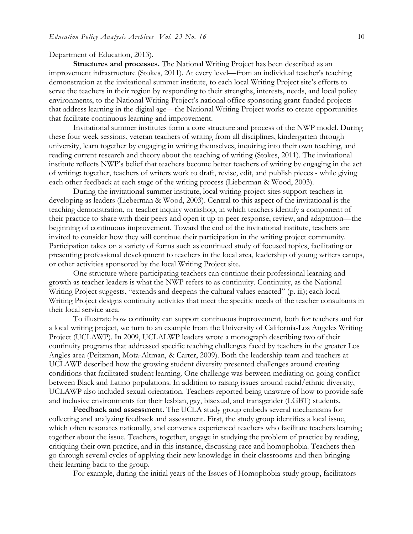#### Department of Education, 2013).

**Structures and processes.** The National Writing Project has been described as an improvement infrastructure (Stokes, 2011). At every level—from an individual teacher's teaching demonstration at the invitational summer institute, to each local Writing Project site's efforts to serve the teachers in their region by responding to their strengths, interests, needs, and local policy environments, to the National Writing Project's national office sponsoring grant-funded projects that address learning in the digital age—the National Writing Project works to create opportunities that facilitate continuous learning and improvement.

Invitational summer institutes form a core structure and process of the NWP model. During these four week sessions, veteran teachers of writing from all disciplines, kindergarten through university, learn together by engaging in writing themselves, inquiring into their own teaching, and reading current research and theory about the teaching of writing (Stokes, 2011). The invitational institute reflects NWP's belief that teachers become better teachers of writing by engaging in the act of writing: together, teachers of writers work to draft, revise, edit, and publish pieces - while giving each other feedback at each stage of the writing process (Lieberman & Wood, 2003).

During the invitational summer institute, local writing project sites support teachers in developing as leaders (Lieberman & Wood, 2003). Central to this aspect of the invitational is the teaching demonstration, or teacher inquiry workshop, in which teachers identify a component of their practice to share with their peers and open it up to peer response, review, and adaptation—the beginning of continuous improvement. Toward the end of the invitational institute, teachers are invited to consider how they will continue their participation in the writing project community. Participation takes on a variety of forms such as continued study of focused topics, facilitating or presenting professional development to teachers in the local area, leadership of young writers camps, or other activities sponsored by the local Writing Project site.

One structure where participating teachers can continue their professional learning and growth as teacher leaders is what the NWP refers to as continuity. Continuity, as the National Writing Project suggests, "extends and deepens the cultural values enacted" (p. iii); each local Writing Project designs continuity activities that meet the specific needs of the teacher consultants in their local service area.

To illustrate how continuity can support continuous improvement, both for teachers and for a local writing project, we turn to an example from the University of California-Los Angeles Writing Project (UCLAWP). In 2009, UCLALWP leaders wrote a monograph describing two of their continuity programs that addressed specific teaching challenges faced by teachers in the greater Los Angles area (Peitzman, Mota-Altman, & Carter, 2009). Both the leadership team and teachers at UCLAWP described how the growing student diversity presented challenges around creating conditions that facilitated student learning. One challenge was between mediating on-going conflict between Black and Latino populations. In addition to raising issues around racial/ethnic diversity, UCLAWP also included sexual orientation. Teachers reported being unaware of how to provide safe and inclusive environments for their lesbian, gay, bisexual, and transgender (LGBT) students.

**Feedback and assessment.** The UCLA study group embeds several mechanisms for collecting and analyzing feedback and assessment. First, the study group identifies a local issue, which often resonates nationally, and convenes experienced teachers who facilitate teachers learning together about the issue. Teachers, together, engage in studying the problem of practice by reading, critiquing their own practice, and in this instance, discussing race and homophobia. Teachers then go through several cycles of applying their new knowledge in their classrooms and then bringing their learning back to the group.

For example, during the initial years of the Issues of Homophobia study group, facilitators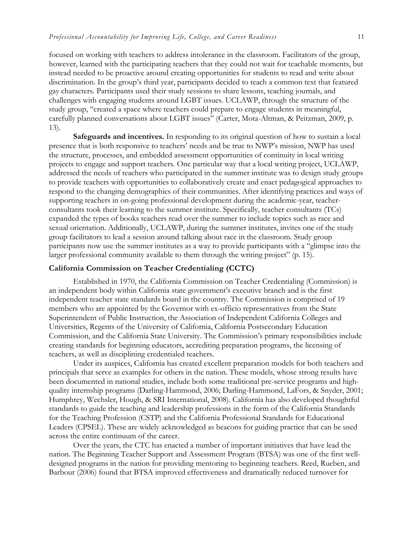focused on working with teachers to address intolerance in the classroom. Facilitators of the group, however, learned with the participating teachers that they could not wait for teachable moments, but instead needed to be proactive around creating opportunities for students to read and write about discrimination. In the group's third year, participants decided to teach a common text that featured gay characters. Participants used their study sessions to share lessons, teaching journals, and challenges with engaging students around LGBT issues. UCLAWP, through the structure of the study group, "created a space where teachers could prepare to engage students in meaningful, carefully planned conversations about LGBT issues" (Carter, Mota-Altman, & Peitzman, 2009, p. 13).

**Safeguards and incentives.** In responding to its original question of how to sustain a local presence that is both responsive to teachers' needs and be true to NWP's mission, NWP has used the structure, processes, and embedded assessment opportunities of continuity in local writing projects to engage and support teachers. One particular way that a local writing project, UCLAWP, addressed the needs of teachers who participated in the summer institute was to design study groups to provide teachers with opportunities to collaboratively create and enact pedagogical approaches to respond to the changing demographics of their communities. After identifying practices and ways of supporting teachers in on-going professional development during the academic-year, teacherconsultants took their learning to the summer institute. Specifically, teacher consultants (TCs) expanded the types of books teachers read over the summer to include topics such as race and sexual orientation. Additionally, UCLAWP, during the summer institutes, invites one of the study group facilitators to lead a session around talking about race in the classroom. Study group participants now use the summer institutes as a way to provide participants with a "glimpse into the larger professional community available to them through the writing project" (p. 15).

#### **California Commission on Teacher Credentialing (CCTC)**

Established in 1970, the California Commission on Teacher Credentialing (Commission) is an independent body within California state government's executive branch and is the first independent teacher state standards board in the country. The Commission is comprised of 19 members who are appointed by the Governor with ex-officio representatives from the State Superintendent of Public Instruction, the Association of Independent California Colleges and Universities, Regents of the University of California, California Postsecondary Education Commission, and the California State University. The Commission's primary responsibilities include creating standards for beginning educators, accrediting preparation programs, the licensing of teachers, as well as disciplining credentialed teachers.

Under its auspices, California has created excellent preparation models for both teachers and principals that serve as examples for others in the nation. These models, whose strong results have been documented in national studies, include both some traditional pre-service programs and highquality internship programs (Darling-Hammond, 2006; Darling-Hammond, LaFors, & Snyder, 2001; Humphrey, Wechsler, Hough, & SRI International, 2008). California has also developed thoughtful standards to guide the teaching and leadership professions in the form of the California Standards for the Teaching Profession (CSTP) and the California Professional Standards for Educational Leaders (CPSEL). These are widely acknowledged as beacons for guiding practice that can be used across the entire continuum of the career.

Over the years, the CTC has enacted a number of important initiatives that have lead the nation. The Beginning Teacher Support and Assessment Program (BTSA) was one of the first welldesigned programs in the nation for providing mentoring to beginning teachers. Reed, Rueben, and Barbour (2006) found that BTSA improved effectiveness and dramatically reduced turnover for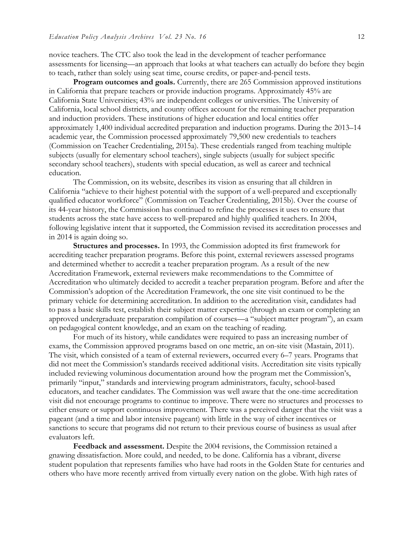novice teachers. The CTC also took the lead in the development of teacher performance assessments for licensing—an approach that looks at what teachers can actually do before they begin to teach, rather than solely using seat time, course credits, or paper-and-pencil tests.

**Program outcomes and goals.** Currently, there are 265 Commission approved institutions in California that prepare teachers or provide induction programs. Approximately 45% are California State Universities; 43% are independent colleges or universities. The University of California, local school districts, and county offices account for the remaining teacher preparation and induction providers. These institutions of higher education and local entities offer approximately 1,400 individual accredited preparation and induction programs. During the 2013–14 academic year, the Commission processed approximately 79,500 new credentials to teachers (Commission on Teacher Credentialing, 2015a). These credentials ranged from teaching multiple subjects (usually for elementary school teachers), single subjects (usually for subject specific secondary school teachers), students with special education, as well as career and technical education.

The Commission, on its website, describes its vision as ensuring that all children in California "achieve to their highest potential with the support of a well-prepared and exceptionally qualified educator workforce" (Commission on Teacher Credentialing, 2015b). Over the course of its 44-year history, the Commission has continued to refine the processes it uses to ensure that students across the state have access to well-prepared and highly qualified teachers. In 2004, following legislative intent that it supported, the Commission revised its accreditation processes and in 2014 is again doing so.

**Structures and processes.** In 1993, the Commission adopted its first framework for accrediting teacher preparation programs. Before this point, external reviewers assessed programs and determined whether to accredit a teacher preparation program. As a result of the new Accreditation Framework, external reviewers make recommendations to the Committee of Accreditation who ultimately decided to accredit a teacher preparation program. Before and after the Commission's adoption of the Accreditation Framework, the one site visit continued to be the primary vehicle for determining accreditation. In addition to the accreditation visit, candidates had to pass a basic skills test, establish their subject matter expertise (through an exam or completing an approved undergraduate preparation compilation of courses—a "subject matter program"), an exam on pedagogical content knowledge, and an exam on the teaching of reading.

For much of its history, while candidates were required to pass an increasing number of exams, the Commission approved programs based on one metric, an on-site visit (Mastain, 2011). The visit, which consisted of a team of external reviewers, occurred every 6–7 years. Programs that did not meet the Commission's standards received additional visits. Accreditation site visits typically included reviewing voluminous documentation around how the program met the Commission's, primarily "input," standards and interviewing program administrators, faculty, school-based educators, and teacher candidates. The Commission was well aware that the one-time accreditation visit did not encourage programs to continue to improve. There were no structures and processes to either ensure or support continuous improvement. There was a perceived danger that the visit was a pageant (and a time and labor intensive pageant) with little in the way of either incentives or sanctions to secure that programs did not return to their previous course of business as usual after evaluators left.

**Feedback and assessment.** Despite the 2004 revisions, the Commission retained a gnawing dissatisfaction. More could, and needed, to be done. California has a vibrant, diverse student population that represents families who have had roots in the Golden State for centuries and others who have more recently arrived from virtually every nation on the globe. With high rates of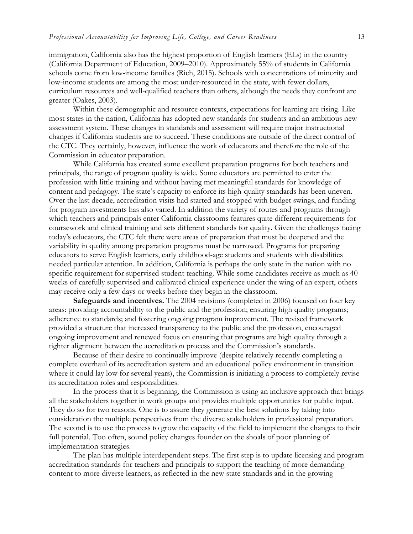immigration, California also has the highest proportion of English learners (ELs) in the country (California Department of Education, 2009–2010). Approximately 55% of students in California schools come from low-income families (Rich, 2015). Schools with concentrations of minority and low-income students are among the most under-resourced in the state, with fewer dollars, curriculum resources and well-qualified teachers than others, although the needs they confront are greater (Oakes, 2003).

Within these demographic and resource contexts, expectations for learning are rising. Like most states in the nation, California has adopted new standards for students and an ambitious new assessment system. These changes in standards and assessment will require major instructional changes if California students are to succeed. These conditions are outside of the direct control of the CTC. They certainly, however, influence the work of educators and therefore the role of the Commission in educator preparation.

While California has created some excellent preparation programs for both teachers and principals, the range of program quality is wide. Some educators are permitted to enter the profession with little training and without having met meaningful standards for knowledge of content and pedagogy. The state's capacity to enforce its high-quality standards has been uneven. Over the last decade, accreditation visits had started and stopped with budget swings, and funding for program investments has also varied. In addition the variety of routes and programs through which teachers and principals enter California classrooms features quite different requirements for coursework and clinical training and sets different standards for quality. Given the challenges facing today's educators, the CTC felt there were areas of preparation that must be deepened and the variability in quality among preparation programs must be narrowed. Programs for preparing educators to serve English learners, early childhood-age students and students with disabilities needed particular attention. In addition, California is perhaps the only state in the nation with no specific requirement for supervised student teaching. While some candidates receive as much as 40 weeks of carefully supervised and calibrated clinical experience under the wing of an expert, others may receive only a few days or weeks before they begin in the classroom.

**Safeguards and incentives.** The 2004 revisions (completed in 2006) focused on four key areas: providing accountability to the public and the profession; ensuring high quality programs; adherence to standards; and fostering ongoing program improvement. The revised framework provided a structure that increased transparency to the public and the profession, encouraged ongoing improvement and renewed focus on ensuring that programs are high quality through a tighter alignment between the accreditation process and the Commission's standards.

Because of their desire to continually improve (despite relatively recently completing a complete overhaul of its accreditation system and an educational policy environment in transition where it could lay low for several years), the Commission is initiating a process to completely revise its accreditation roles and responsibilities.

In the process that it is beginning, the Commission is using an inclusive approach that brings all the stakeholders together in work groups and provides multiple opportunities for public input. They do so for two reasons. One is to assure they generate the best solutions by taking into consideration the multiple perspectives from the diverse stakeholders in professional preparation. The second is to use the process to grow the capacity of the field to implement the changes to their full potential. Too often, sound policy changes founder on the shoals of poor planning of implementation strategies.

The plan has multiple interdependent steps. The first step is to update licensing and program accreditation standards for teachers and principals to support the teaching of more demanding content to more diverse learners, as reflected in the new state standards and in the growing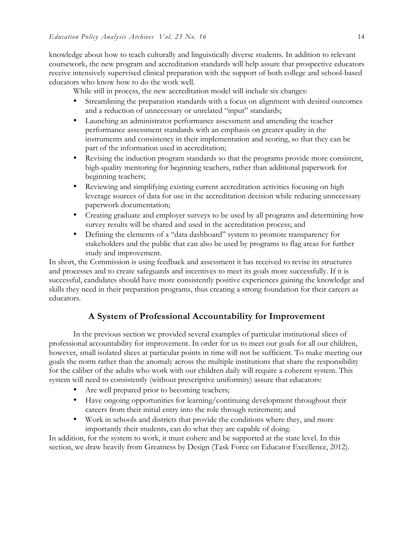knowledge about how to teach culturally and linguistically diverse students. In addition to relevant coursework, the new program and accreditation standards will help assure that prospective educators receive intensively supervised clinical preparation with the support of both college and school-based educators who know how to do the work well.

While still in process, the new accreditation model will include six changes:

- Streamlining the preparation standards with a focus on alignment with desired outcomes and a reduction of unnecessary or unrelated "input" standards;
- Launching an administrator performance assessment and amending the teacher performance assessment standards with an emphasis on greater quality in the instruments and consistency in their implementation and scoring, so that they can be part of the information used in accreditation;
- Revising the induction program standards so that the programs provide more consistent, high-quality mentoring for beginning teachers, rather than additional paperwork for beginning teachers;
- Reviewing and simplifying existing current accreditation activities focusing on high leverage sources of data for use in the accreditation decision while reducing unnecessary paperwork documentation;
- Creating graduate and employer surveys to be used by all programs and determining how survey results will be shared and used in the accreditation process; and
- Defining the elements of a "data dashboard" system to promote transparency for stakeholders and the public that can also be used by programs to flag areas for further study and improvement.

In short, the Commission is using feedback and assessment it has received to revise its structures and processes and to create safeguards and incentives to meet its goals more successfully. If it is successful, candidates should have more consistently positive experiences gaining the knowledge and skills they need in their preparation programs, thus creating a strong foundation for their careers as educators.

## **A System of Professional Accountability for Improvement**

In the previous section we provided several examples of particular institutional slices of professional accountability for improvement. In order for us to meet our goals for all our children, however, small isolated slices at particular points in time will not be sufficient. To make meeting our goals the norm rather than the anomaly across the multiple institutions that share the responsibility for the caliber of the adults who work with our children daily will require a coherent system. This system will need to consistently (without prescriptive uniformity) assure that educators:

- Are well prepared prior to becoming teachers;
- Have ongoing opportunities for learning/continuing development throughout their careers from their initial entry into the role through retirement; and
- Work in schools and districts that provide the conditions where they, and more importantly their students, can do what they are capable of doing.

In addition, for the system to work, it must cohere and be supported at the state level. In this section, we draw heavily from Greatness by Design (Task Force on Educator Excellence, 2012).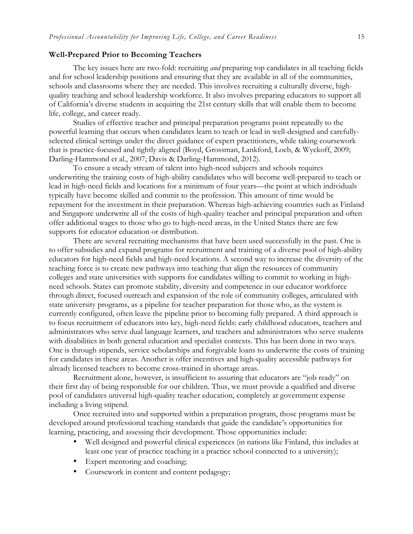#### **Well-Prepared Prior to Becoming Teachers**

The key issues here are two-fold: recruiting *and* preparing top candidates in all teaching fields and for school leadership positions and ensuring that they are available in all of the communities, schools and classrooms where they are needed. This involves recruiting a culturally diverse, highquality teaching and school leadership workforce. It also involves preparing educators to support all of California's diverse students in acquiring the 21st century skills that will enable them to become life, college, and career ready.

Studies of effective teacher and principal preparation programs point repeatedly to the powerful learning that occurs when candidates learn to teach or lead in well-designed and carefullyselected clinical settings under the direct guidance of expert practitioners, while taking coursework that is practice-focused and tightly aligned (Boyd, Grossman, Lankford, Loeb, & Wyckoff, 2009; Darling-Hammond et al., 2007; Davis & Darling-Hammond, 2012).

To ensure a steady stream of talent into high-need subjects and schools requires underwriting the training costs of high-ability candidates who will become well-prepared to teach or lead in high-need fields and locations for a minimum of four years—the point at which individuals typically have become skilled and commit to the profession. This amount of time would be repayment for the investment in their preparation. Whereas high-achieving countries such as Finland and Singapore underwrite all of the costs of high-quality teacher and principal preparation and often offer additional wages to those who go to high-need areas, in the United States there are few supports for educator education or distribution.

There are several recruiting mechanisms that have been used successfully in the past. One is to offer subsidies and expand programs for recruitment and training of a diverse pool of high-ability educators for high-need fields and high-need locations. A second way to increase the diversity of the teaching force is to create new pathways into teaching that align the resources of community colleges and state universities with supports for candidates willing to commit to working in highneed schools. States can promote stability, diversity and competence in our educator workforce through direct, focused outreach and expansion of the role of community colleges, articulated with state university programs, as a pipeline for teacher preparation for those who, as the system is currently configured, often leave the pipeline prior to becoming fully prepared. A third approach is to focus recruitment of educators into key, high-need fields: early childhood educators, teachers and administrators who serve dual language learners, and teachers and administrators who serve students with disabilities in both general education and specialist contexts. This has been done in two ways. One is through stipends, service scholarships and forgivable loans to underwrite the costs of training for candidates in these areas. Another is offer incentives and high-quality accessible pathways for already licensed teachers to become cross-trained in shortage areas.

Recruitment alone, however, is insufficient to assuring that educators are "job ready" on their first day of being responsible for our children. Thus, we must provide a qualified and diverse pool of candidates universal high-quality teacher education, completely at government expense including a living stipend.

Once recruited into and supported within a preparation program, those programs must be developed around professional teaching standards that guide the candidate's opportunities for learning, practicing, and assessing their development. Those opportunities include:

- Well designed and powerful clinical experiences (in nations like Finland, this includes at least one year of practice teaching in a practice school connected to a university);
- Expert mentoring and coaching;
- Coursework in content and content pedagogy;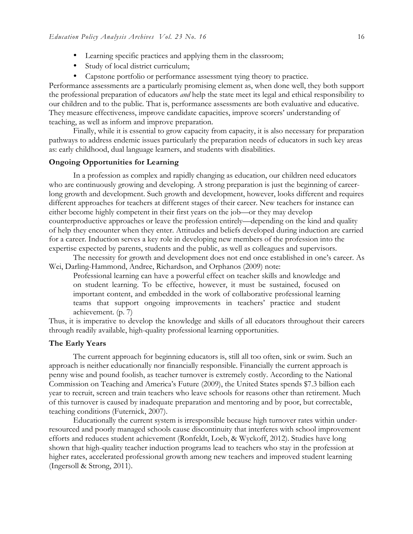- Learning specific practices and applying them in the classroom;
- Study of local district curriculum;
- Capstone portfolio or performance assessment tying theory to practice.

Performance assessments are a particularly promising element as, when done well, they both support the professional preparation of educators *and* help the state meet its legal and ethical responsibility to our children and to the public*.* That is, performance assessments are both evaluative and educative. They measure effectiveness, improve candidate capacities, improve scorers' understanding of teaching, as well as inform and improve preparation.

Finally, while it is essential to grow capacity from capacity, it is also necessary for preparation pathways to address endemic issues particularly the preparation needs of educators in such key areas as: early childhood, dual language learners, and students with disabilities.

#### **Ongoing Opportunities for Learning**

In a profession as complex and rapidly changing as education, our children need educators who are continuously growing and developing. A strong preparation is just the beginning of careerlong growth and development. Such growth and development, however, looks different and requires different approaches for teachers at different stages of their career. New teachers for instance can either become highly competent in their first years on the job—or they may develop counterproductive approaches or leave the profession entirely—depending on the kind and quality of help they encounter when they enter. Attitudes and beliefs developed during induction are carried for a career. Induction serves a key role in developing new members of the profession into the expertise expected by parents, students and the public, as well as colleagues and supervisors.

The necessity for growth and development does not end once established in one's career. As Wei, Darling-Hammond, Andree, Richardson, and Orphanos (2009) note:

Professional learning can have a powerful effect on teacher skills and knowledge and on student learning. To be effective, however, it must be sustained, focused on important content, and embedded in the work of collaborative professional learning teams that support ongoing improvements in teachers' practice and student achievement. (p. 7)

Thus, it is imperative to develop the knowledge and skills of all educators throughout their careers through readily available, high-quality professional learning opportunities.

#### **The Early Years**

The current approach for beginning educators is, still all too often, sink or swim. Such an approach is neither educationally nor financially responsible. Financially the current approach is penny wise and pound foolish, as teacher turnover is extremely costly. According to the National Commission on Teaching and America's Future (2009), the United States spends \$7.3 billion each year to recruit, screen and train teachers who leave schools for reasons other than retirement. Much of this turnover is caused by inadequate preparation and mentoring and by poor, but correctable, teaching conditions (Futernick, 2007).

Educationally the current system is irresponsible because high turnover rates within underresourced and poorly managed schools cause discontinuity that interferes with school improvement efforts and reduces student achievement (Ronfeldt, Loeb, & Wyckoff, 2012). Studies have long shown that high-quality teacher induction programs lead to teachers who stay in the profession at higher rates, accelerated professional growth among new teachers and improved student learning (Ingersoll & Strong, 2011).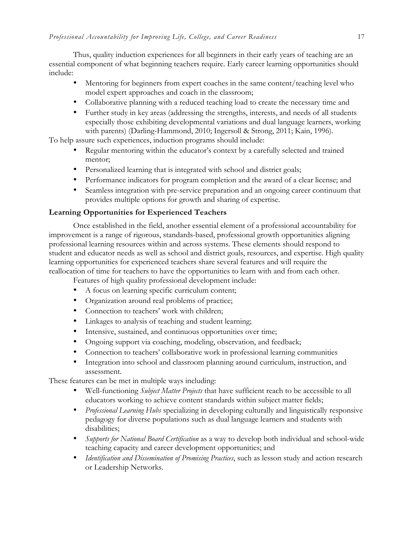Thus, quality induction experiences for all beginners in their early years of teaching are an essential component of what beginning teachers require. Early career learning opportunities should include:

- Mentoring for beginners from expert coaches in the same content/teaching level who model expert approaches and coach in the classroom;
- Collaborative planning with a reduced teaching load to create the necessary time and
- Further study in key areas (addressing the strengths, interests, and needs of all students especially those exhibiting developmental variations and dual language learners, working with parents) (Darling-Hammond, 2010; Ingersoll & Strong, 2011; Kain, 1996).

To help assure such experiences, induction programs should include:

- Regular mentoring within the educator's context by a carefully selected and trained mentor;
- Personalized learning that is integrated with school and district goals;
- Performance indicators for program completion and the award of a clear license; and
- Seamless integration with pre-service preparation and an ongoing career continuum that provides multiple options for growth and sharing of expertise.

## **Learning Opportunities for Experienced Teachers**

Once established in the field, another essential element of a professional accountability for improvement is a range of rigorous, standards-based, professional growth opportunities aligning professional learning resources within and across systems. These elements should respond to student and educator needs as well as school and district goals, resources, and expertise. High quality learning opportunities for experienced teachers share several features and will require the reallocation of time for teachers to have the opportunities to learn with and from each other.

Features of high quality professional development include:

- A focus on learning specific curriculum content;
- Organization around real problems of practice;
- Connection to teachers' work with children;
- Linkages to analysis of teaching and student learning;
- Intensive, sustained, and continuous opportunities over time;
- Ongoing support via coaching, modeling, observation, and feedback;
- Connection to teachers' collaborative work in professional learning communities
- Integration into school and classroom planning around curriculum, instruction, and assessment.

These features can be met in multiple ways including:

- Well-functioning *Subject Matter Projects* that have sufficient reach to be accessible to all educators working to achieve content standards within subject matter fields;
- *Professional Learning Hubs* specializing in developing culturally and linguistically responsive pedagogy for diverse populations such as dual language learners and students with disabilities;
- *Supports for National Board Certification* as a way to develop both individual and school-wide teaching capacity and career development opportunities; and
- *Identification and Dissemination of Promising Practices*, such as lesson study and action research or Leadership Networks.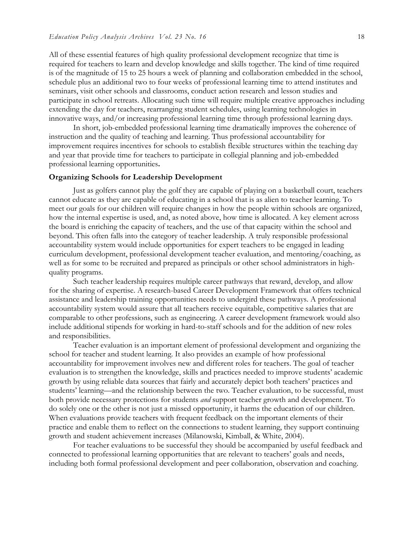All of these essential features of high quality professional development recognize that time is required for teachers to learn and develop knowledge and skills together. The kind of time required is of the magnitude of 15 to 25 hours a week of planning and collaboration embedded in the school, schedule plus an additional two to four weeks of professional learning time to attend institutes and seminars, visit other schools and classrooms, conduct action research and lesson studies and participate in school retreats. Allocating such time will require multiple creative approaches including extending the day for teachers, rearranging student schedules, using learning technologies in innovative ways, and/or increasing professional learning time through professional learning days.

In short, job-embedded professional learning time dramatically improves the coherence of instruction and the quality of teaching and learning. Thus professional accountability for improvement requires incentives for schools to establish flexible structures within the teaching day and year that provide time for teachers to participate in collegial planning and job-embedded professional learning opportunities**.** 

#### **Organizing Schools for Leadership Development**

Just as golfers cannot play the golf they are capable of playing on a basketball court, teachers cannot educate as they are capable of educating in a school that is as alien to teacher learning. To meet our goals for our children will require changes in how the people within schools are organized, how the internal expertise is used, and, as noted above, how time is allocated. A key element across the board is enriching the capacity of teachers, and the use of that capacity within the school and beyond. This often falls into the category of teacher leadership. A truly responsible professional accountability system would include opportunities for expert teachers to be engaged in leading curriculum development, professional development teacher evaluation, and mentoring/coaching, as well as for some to be recruited and prepared as principals or other school administrators in highquality programs.

Such teacher leadership requires multiple career pathways that reward, develop, and allow for the sharing of expertise. A research-based Career Development Framework that offers technical assistance and leadership training opportunities needs to undergird these pathways. A professional accountability system would assure that all teachers receive equitable, competitive salaries that are comparable to other professions, such as engineering. A career development framework would also include additional stipends for working in hard-to-staff schools and for the addition of new roles and responsibilities.

Teacher evaluation is an important element of professional development and organizing the school for teacher and student learning. It also provides an example of how professional accountability for improvement involves new and different roles for teachers. The goal of teacher evaluation is to strengthen the knowledge, skills and practices needed to improve students' academic growth by using reliable data sources that fairly and accurately depict both teachers' practices and students' learning—and the relationship between the two. Teacher evaluation, to be successful, must both provide necessary protections for students *and* support teacher growth and development. To do solely one or the other is not just a missed opportunity, it harms the education of our children. When evaluations provide teachers with frequent feedback on the important elements of their practice and enable them to reflect on the connections to student learning, they support continuing growth and student achievement increases (Milanowski, Kimball, & White, 2004).

For teacher evaluations to be successful they should be accompanied by useful feedback and connected to professional learning opportunities that are relevant to teachers' goals and needs, including both formal professional development and peer collaboration, observation and coaching.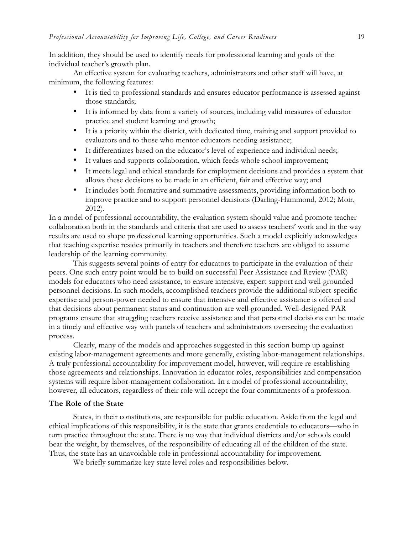In addition, they should be used to identify needs for professional learning and goals of the individual teacher's growth plan.

An effective system for evaluating teachers, administrators and other staff will have, at minimum, the following features:

- It is tied to professional standards and ensures educator performance is assessed against those standards;
- It is informed by data from a variety of sources, including valid measures of educator practice and student learning and growth;
- It is a priority within the district, with dedicated time, training and support provided to evaluators and to those who mentor educators needing assistance;
- It differentiates based on the educator's level of experience and individual needs;
- It values and supports collaboration, which feeds whole school improvement;
- It meets legal and ethical standards for employment decisions and provides a system that allows these decisions to be made in an efficient, fair and effective way; and
- It includes both formative and summative assessments, providing information both to improve practice and to support personnel decisions (Darling-Hammond, 2012; Moir, 2012).

In a model of professional accountability, the evaluation system should value and promote teacher collaboration both in the standards and criteria that are used to assess teachers' work and in the way results are used to shape professional learning opportunities. Such a model explicitly acknowledges that teaching expertise resides primarily in teachers and therefore teachers are obliged to assume leadership of the learning community.

This suggests several points of entry for educators to participate in the evaluation of their peers. One such entry point would be to build on successful Peer Assistance and Review (PAR) models for educators who need assistance, to ensure intensive, expert support and well-grounded personnel decisions. In such models, accomplished teachers provide the additional subject-specific expertise and person-power needed to ensure that intensive and effective assistance is offered and that decisions about permanent status and continuation are well-grounded. Well-designed PAR programs ensure that struggling teachers receive assistance and that personnel decisions can be made in a timely and effective way with panels of teachers and administrators overseeing the evaluation process.

Clearly, many of the models and approaches suggested in this section bump up against existing labor-management agreements and more generally, existing labor-management relationships. A truly professional accountability for improvement model, however, will require re-establishing those agreements and relationships. Innovation in educator roles, responsibilities and compensation systems will require labor-management collaboration. In a model of professional accountability, however, all educators, regardless of their role will accept the four commitments of a profession.

#### **The Role of the State**

States, in their constitutions, are responsible for public education. Aside from the legal and ethical implications of this responsibility, it is the state that grants credentials to educators—who in turn practice throughout the state. There is no way that individual districts and/or schools could bear the weight, by themselves, of the responsibility of educating all of the children of the state. Thus, the state has an unavoidable role in professional accountability for improvement.

We briefly summarize key state level roles and responsibilities below.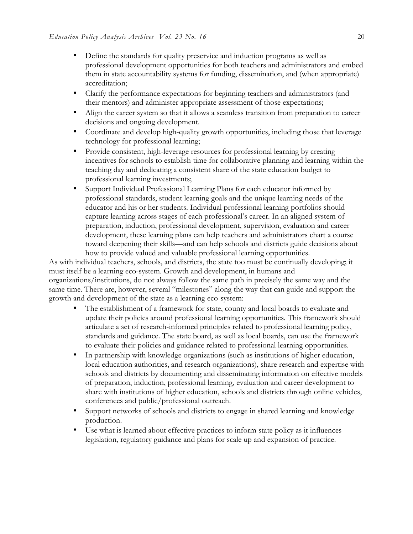- Define the standards for quality preservice and induction programs as well as professional development opportunities for both teachers and administrators and embed them in state accountability systems for funding, dissemination, and (when appropriate) accreditation;
- Clarify the performance expectations for beginning teachers and administrators (and their mentors) and administer appropriate assessment of those expectations;
- Align the career system so that it allows a seamless transition from preparation to career decisions and ongoing development.
- Coordinate and develop high-quality growth opportunities, including those that leverage technology for professional learning;
- Provide consistent, high-leverage resources for professional learning by creating incentives for schools to establish time for collaborative planning and learning within the teaching day and dedicating a consistent share of the state education budget to professional learning investments;
- Support Individual Professional Learning Plans for each educator informed by professional standards, student learning goals and the unique learning needs of the educator and his or her students. Individual professional learning portfolios should capture learning across stages of each professional's career. In an aligned system of preparation, induction, professional development, supervision, evaluation and career development, these learning plans can help teachers and administrators chart a course toward deepening their skills—and can help schools and districts guide decisions about how to provide valued and valuable professional learning opportunities.

As with individual teachers, schools, and districts, the state too must be continually developing; it must itself be a learning eco-system. Growth and development, in humans and organizations/institutions, do not always follow the same path in precisely the same way and the same time. There are, however, several "milestones" along the way that can guide and support the growth and development of the state as a learning eco-system:

- The establishment of a framework for state, county and local boards to evaluate and update their policies around professional learning opportunities. This framework should articulate a set of research-informed principles related to professional learning policy, standards and guidance. The state board, as well as local boards, can use the framework to evaluate their policies and guidance related to professional learning opportunities.
- In partnership with knowledge organizations (such as institutions of higher education, local education authorities, and research organizations), share research and expertise with schools and districts by documenting and disseminating information on effective models of preparation, induction, professional learning, evaluation and career development to share with institutions of higher education, schools and districts through online vehicles, conferences and public/professional outreach.
- Support networks of schools and districts to engage in shared learning and knowledge production.
- Use what is learned about effective practices to inform state policy as it influences legislation, regulatory guidance and plans for scale up and expansion of practice.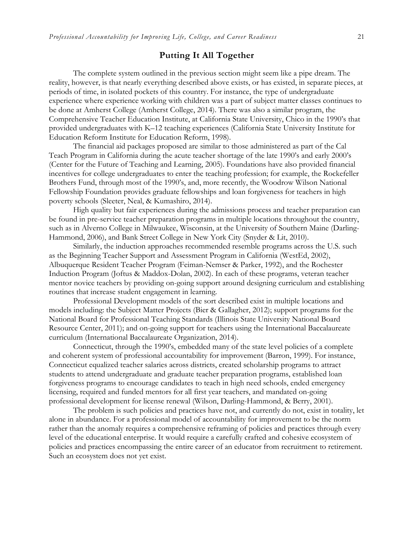## **Putting It All Together**

The complete system outlined in the previous section might seem like a pipe dream. The reality, however, is that nearly everything described above exists, or has existed, in separate pieces, at periods of time, in isolated pockets of this country. For instance, the type of undergraduate experience where experience working with children was a part of subject matter classes continues to be done at Amherst College (Amherst College, 2014). There was also a similar program, the Comprehensive Teacher Education Institute, at California State University, Chico in the 1990's that provided undergraduates with K–12 teaching experiences (California State University Institute for Education Reform Institute for Education Reform, 1998).

The financial aid packages proposed are similar to those administered as part of the Cal Teach Program in California during the acute teacher shortage of the late 1990's and early 2000's (Center for the Future of Teaching and Learning, 2005). Foundations have also provided financial incentives for college undergraduates to enter the teaching profession; for example, the Rockefeller Brothers Fund, through most of the 1990's, and, more recently, the Woodrow Wilson National Fellowship Foundation provides graduate fellowships and loan forgiveness for teachers in high poverty schools (Sleeter, Neal, & Kumashiro, 2014).

High quality but fair experiences during the admissions process and teacher preparation can be found in pre-service teacher preparation programs in multiple locations throughout the country, such as in Alverno College in Milwaukee, Wisconsin, at the University of Southern Maine (Darling-Hammond, 2006), and Bank Street College in New York City (Snyder & Lit, 2010).

Similarly, the induction approaches recommended resemble programs across the U.S. such as the Beginning Teacher Support and Assessment Program in California (WestEd, 2002), Albuquerque Resident Teacher Program (Feiman-Nemser & Parker, 1992), and the Rochester Induction Program (Joftus & Maddox-Dolan, 2002). In each of these programs, veteran teacher mentor novice teachers by providing on-going support around designing curriculum and establishing routines that increase student engagement in learning.

Professional Development models of the sort described exist in multiple locations and models including: the Subject Matter Projects (Bier & Gallagher, 2012); support programs for the National Board for Professional Teaching Standards (Illinois State University National Board Resource Center, 2011); and on-going support for teachers using the International Baccalaureate curriculum (International Baccalaureate Organization, 2014).

Connecticut, through the 1990's, embedded many of the state level policies of a complete and coherent system of professional accountability for improvement (Barron, 1999). For instance, Connecticut equalized teacher salaries across districts, created scholarship programs to attract students to attend undergraduate and graduate teacher preparation programs, established loan forgiveness programs to encourage candidates to teach in high need schools, ended emergency licensing, required and funded mentors for all first year teachers, and mandated on-going professional development for license renewal (Wilson, Darling-Hammond, & Berry, 2001).

The problem is such policies and practices have not, and currently do not, exist in totality, let alone in abundance. For a professional model of accountability for improvement to be the norm rather than the anomaly requires a comprehensive reframing of policies and practices through every level of the educational enterprise. It would require a carefully crafted and cohesive ecosystem of policies and practices encompassing the entire career of an educator from recruitment to retirement. Such an ecosystem does not yet exist.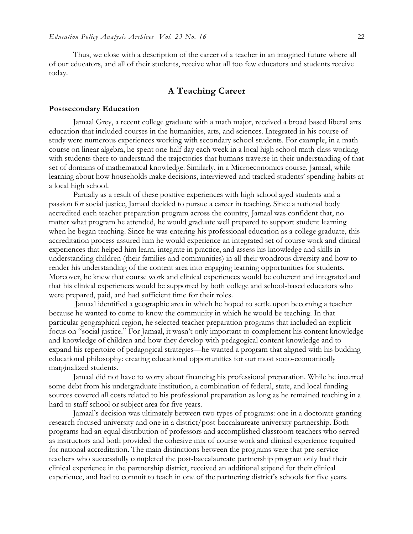Thus, we close with a description of the career of a teacher in an imagined future where all of our educators, and all of their students, receive what all too few educators and students receive today.

## **A Teaching Career**

#### **Postsecondary Education**

Jamaal Grey, a recent college graduate with a math major, received a broad based liberal arts education that included courses in the humanities, arts, and sciences. Integrated in his course of study were numerous experiences working with secondary school students. For example, in a math course on linear algebra, he spent one-half day each week in a local high school math class working with students there to understand the trajectories that humans traverse in their understanding of that set of domains of mathematical knowledge. Similarly, in a Microeconomics course, Jamaal, while learning about how households make decisions, interviewed and tracked students' spending habits at a local high school.

Partially as a result of these positive experiences with high school aged students and a passion for social justice, Jamaal decided to pursue a career in teaching. Since a national body accredited each teacher preparation program across the country, Jamaal was confident that, no matter what program he attended, he would graduate well prepared to support student learning when he began teaching. Since he was entering his professional education as a college graduate, this accreditation process assured him he would experience an integrated set of course work and clinical experiences that helped him learn, integrate in practice, and assess his knowledge and skills in understanding children (their families and communities) in all their wondrous diversity and how to render his understanding of the content area into engaging learning opportunities for students. Moreover, he knew that course work and clinical experiences would be coherent and integrated and that his clinical experiences would be supported by both college and school-based educators who were prepared, paid, and had sufficient time for their roles.

Jamaal identified a geographic area in which he hoped to settle upon becoming a teacher because he wanted to come to know the community in which he would be teaching. In that particular geographical region, he selected teacher preparation programs that included an explicit focus on "social justice." For Jamaal, it wasn't only important to complement his content knowledge and knowledge of children and how they develop with pedagogical content knowledge and to expand his repertoire of pedagogical strategies—he wanted a program that aligned with his budding educational philosophy: creating educational opportunities for our most socio-economically marginalized students.

Jamaal did not have to worry about financing his professional preparation. While he incurred some debt from his undergraduate institution, a combination of federal, state, and local funding sources covered all costs related to his professional preparation as long as he remained teaching in a hard to staff school or subject area for five years.

Jamaal's decision was ultimately between two types of programs: one in a doctorate granting research focused university and one in a district/post-baccalaureate university partnership. Both programs had an equal distribution of professors and accomplished classroom teachers who served as instructors and both provided the cohesive mix of course work and clinical experience required for national accreditation. The main distinctions between the programs were that pre-service teachers who successfully completed the post-baccalaureate partnership program only had their clinical experience in the partnership district, received an additional stipend for their clinical experience, and had to commit to teach in one of the partnering district's schools for five years.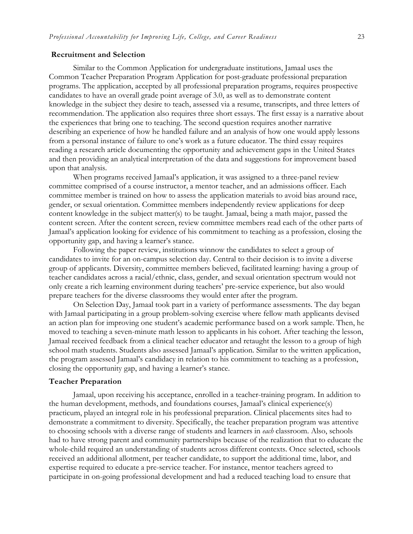#### **Recruitment and Selection**

Similar to the Common Application for undergraduate institutions, Jamaal uses the Common Teacher Preparation Program Application for post-graduate professional preparation programs. The application, accepted by all professional preparation programs, requires prospective candidates to have an overall grade point average of 3.0, as well as to demonstrate content knowledge in the subject they desire to teach, assessed via a resume, transcripts, and three letters of recommendation. The application also requires three short essays. The first essay is a narrative about the experiences that bring one to teaching. The second question requires another narrative describing an experience of how he handled failure and an analysis of how one would apply lessons from a personal instance of failure to one's work as a future educator. The third essay requires reading a research article documenting the opportunity and achievement gaps in the United States and then providing an analytical interpretation of the data and suggestions for improvement based upon that analysis.

When programs received Jamaal's application, it was assigned to a three-panel review committee comprised of a course instructor, a mentor teacher, and an admissions officer. Each committee member is trained on how to assess the application materials to avoid bias around race, gender, or sexual orientation. Committee members independently review applications for deep content knowledge in the subject matter(s) to be taught. Jamaal, being a math major, passed the content screen. After the content screen, review committee members read each of the other parts of Jamaal's application looking for evidence of his commitment to teaching as a profession, closing the opportunity gap, and having a learner's stance.

Following the paper review, institutions winnow the candidates to select a group of candidates to invite for an on-campus selection day. Central to their decision is to invite a diverse group of applicants. Diversity, committee members believed, facilitated learning: having a group of teacher candidates across a racial/ethnic, class, gender, and sexual orientation spectrum would not only create a rich learning environment during teachers' pre-service experience, but also would prepare teachers for the diverse classrooms they would enter after the program.

On Selection Day, Jamaal took part in a variety of performance assessments. The day began with Jamaal participating in a group problem-solving exercise where fellow math applicants devised an action plan for improving one student's academic performance based on a work sample. Then, he moved to teaching a seven-minute math lesson to applicants in his cohort. After teaching the lesson, Jamaal received feedback from a clinical teacher educator and retaught the lesson to a group of high school math students. Students also assessed Jamaal's application. Similar to the written application, the program assessed Jamaal's candidacy in relation to his commitment to teaching as a profession, closing the opportunity gap, and having a learner's stance.

#### **Teacher Preparation**

Jamaal, upon receiving his acceptance, enrolled in a teacher-training program. In addition to the human development, methods, and foundations courses, Jamaal's clinical experience(s) practicum, played an integral role in his professional preparation. Clinical placements sites had to demonstrate a commitment to diversity. Specifically, the teacher preparation program was attentive to choosing schools with a diverse range of students and learners in *each* classroom. Also, schools had to have strong parent and community partnerships because of the realization that to educate the whole-child required an understanding of students across different contexts. Once selected, schools received an additional allotment, per teacher candidate, to support the additional time, labor, and expertise required to educate a pre-service teacher. For instance, mentor teachers agreed to participate in on-going professional development and had a reduced teaching load to ensure that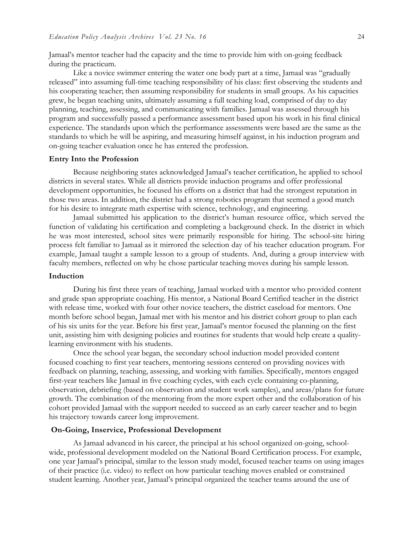Jamaal's mentor teacher had the capacity and the time to provide him with on-going feedback during the practicum.

Like a novice swimmer entering the water one body part at a time, Jamaal was "gradually released" into assuming full-time teaching responsibility of his class: first observing the students and his cooperating teacher; then assuming responsibility for students in small groups. As his capacities grew, he began teaching units, ultimately assuming a full teaching load, comprised of day to day planning, teaching, assessing, and communicating with families. Jamaal was assessed through his program and successfully passed a performance assessment based upon his work in his final clinical experience. The standards upon which the performance assessments were based are the same as the standards to which he will be aspiring, and measuring himself against, in his induction program and on-going teacher evaluation once he has entered the profession.

#### **Entry Into the Profession**

Because neighboring states acknowledged Jamaal's teacher certification, he applied to school districts in several states. While all districts provide induction programs and offer professional development opportunities, he focused his efforts on a district that had the strongest reputation in those two areas. In addition, the district had a strong robotics program that seemed a good match for his desire to integrate math expertise with science, technology, and engineering.

Jamaal submitted his application to the district's human resource office, which served the function of validating his certification and completing a background check. In the district in which he was most interested, school sites were primarily responsible for hiring. The school-site hiring process felt familiar to Jamaal as it mirrored the selection day of his teacher education program. For example, Jamaal taught a sample lesson to a group of students. And, during a group interview with faculty members, reflected on why he chose particular teaching moves during his sample lesson.

#### **Induction**

During his first three years of teaching, Jamaal worked with a mentor who provided content and grade span appropriate coaching. His mentor, a National Board Certified teacher in the district with release time, worked with four other novice teachers, the district caseload for mentors. One month before school began, Jamaal met with his mentor and his district cohort group to plan each of his six units for the year. Before his first year, Jamaal's mentor focused the planning on the first unit, assisting him with designing policies and routines for students that would help create a qualitylearning environment with his students.

Once the school year began, the secondary school induction model provided content focused coaching to first year teachers, mentoring sessions centered on providing novices with feedback on planning, teaching, assessing, and working with families. Specifically, mentors engaged first-year teachers like Jamaal in five coaching cycles, with each cycle containing co-planning, observation, debriefing (based on observation and student work samples), and areas/plans for future growth. The combination of the mentoring from the more expert other and the collaboration of his cohort provided Jamaal with the support needed to succeed as an early career teacher and to begin his trajectory towards career long improvement.

## **On-Going, Inservice, Professional Development**

As Jamaal advanced in his career, the principal at his school organized on-going, schoolwide, professional development modeled on the National Board Certification process. For example, one year Jamaal's principal, similar to the lesson study model, focused teacher teams on using images of their practice (i.e. video) to reflect on how particular teaching moves enabled or constrained student learning. Another year, Jamaal's principal organized the teacher teams around the use of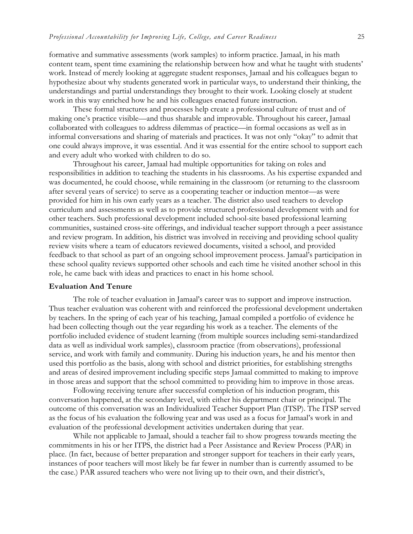formative and summative assessments (work samples) to inform practice. Jamaal, in his math content team, spent time examining the relationship between how and what he taught with students' work. Instead of merely looking at aggregate student responses, Jamaal and his colleagues began to hypothesize about why students generated work in particular ways, to understand their thinking, the understandings and partial understandings they brought to their work. Looking closely at student work in this way enriched how he and his colleagues enacted future instruction.

These formal structures and processes help create a professional culture of trust and of making one's practice visible—and thus sharable and improvable. Throughout his career, Jamaal collaborated with colleagues to address dilemmas of practice—in formal occasions as well as in informal conversations and sharing of materials and practices. It was not only "okay" to admit that one could always improve, it was essential. And it was essential for the entire school to support each and every adult who worked with children to do so.

Throughout his career, Jamaal had multiple opportunities for taking on roles and responsibilities in addition to teaching the students in his classrooms. As his expertise expanded and was documented, he could choose, while remaining in the classroom (or returning to the classroom after several years of service) to serve as a cooperating teacher or induction mentor—as were provided for him in his own early years as a teacher. The district also used teachers to develop curriculum and assessments as well as to provide structured professional development with and for other teachers. Such professional development included school-site based professional learning communities, sustained cross-site offerings, and individual teacher support through a peer assistance and review program. In addition, his district was involved in receiving and providing school quality review visits where a team of educators reviewed documents, visited a school, and provided feedback to that school as part of an ongoing school improvement process. Jamaal's participation in these school quality reviews supported other schools and each time he visited another school in this role, he came back with ideas and practices to enact in his home school.

#### **Evaluation And Tenure**

The role of teacher evaluation in Jamaal's career was to support and improve instruction. Thus teacher evaluation was coherent with and reinforced the professional development undertaken by teachers. In the spring of each year of his teaching, Jamaal compiled a portfolio of evidence he had been collecting though out the year regarding his work as a teacher. The elements of the portfolio included evidence of student learning (from multiple sources including semi-standardized data as well as individual work samples), classroom practice (from observations), professional service, and work with family and community. During his induction years, he and his mentor then used this portfolio as the basis, along with school and district priorities, for establishing strengths and areas of desired improvement including specific steps Jamaal committed to making to improve in those areas and support that the school committed to providing him to improve in those areas.

Following receiving tenure after successful completion of his induction program, this conversation happened, at the secondary level, with either his department chair or principal. The outcome of this conversation was an Individualized Teacher Support Plan (ITSP). The ITSP served as the focus of his evaluation the following year and was used as a focus for Jamaal's work in and evaluation of the professional development activities undertaken during that year.

While not applicable to Jamaal, should a teacher fail to show progress towards meeting the commitments in his or her ITPS, the district had a Peer Assistance and Review Process (PAR) in place. (In fact, because of better preparation and stronger support for teachers in their early years, instances of poor teachers will most likely be far fewer in number than is currently assumed to be the case.) PAR assured teachers who were not living up to their own, and their district's,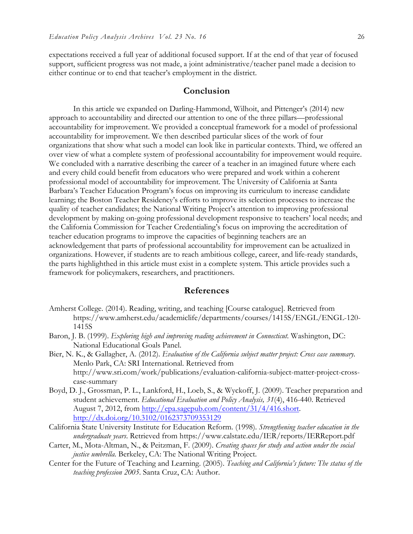expectations received a full year of additional focused support. If at the end of that year of focused support, sufficient progress was not made, a joint administrative/teacher panel made a decision to either continue or to end that teacher's employment in the district.

#### **Conclusion**

In this article we expanded on Darling-Hammond, Wilhoit, and Pittenger's (2014) new approach to accountability and directed our attention to one of the three pillars—professional accountability for improvement. We provided a conceptual framework for a model of professional accountability for improvement. We then described particular slices of the work of four organizations that show what such a model can look like in particular contexts. Third, we offered an over view of what a complete system of professional accountability for improvement would require. We concluded with a narrative describing the career of a teacher in an imagined future where each and every child could benefit from educators who were prepared and work within a coherent professional model of accountability for improvement. The University of California at Santa Barbara's Teacher Education Program's focus on improving its curriculum to increase candidate learning; the Boston Teacher Residency's efforts to improve its selection processes to increase the quality of teacher candidates; the National Writing Project's attention to improving professional development by making on-going professional development responsive to teachers' local needs; and the California Commission for Teacher Credentialing's focus on improving the accreditation of teacher education programs to improve the capacities of beginning teachers are an acknowledgement that parts of professional accountability for improvement can be actualized in organizations. However, if students are to reach ambitious college, career, and life-ready standards, the parts highlighthed in this article must exist in a complete system. This article provides such a framework for policymakers, researchers, and practitioners.

#### **References**

- Amherst College. (2014). Reading, writing, and teaching [Course catalogue]. Retrieved from https://www.amherst.edu/academiclife/departments/courses/1415S/ENGL/ENGL-120- 1415S
- Baron, J. B. (1999). *Exploring high and improving reading achievement in Connecticut*. Washington, DC: National Educational Goals Panel.
- Bier, N. K., & Gallagher, A. (2012). *Evaluation of the California subject matter project: Cross case summary.*  Menlo Park, CA: SRI International. Retrieved from http://www.sri.com/work/publications/evaluation-california-subject-matter-project-crosscase-summary
- Boyd, D. J., Grossman, P. L., Lankford, H., Loeb, S., & Wyckoff, J. (2009). Teacher preparation and student achievement. *Educational Evaluation and Policy Analysis, 31*(4), 416-440. Retrieved August 7, 2012, from http://epa.sagepub.com/content/31/4/416.short. http://dx.doi.org/10.3102/0162373709353129
- California State University Institute for Education Reform. (1998). *Strengthening teacher education in the undergraduate years*. Retrieved from https://www.calstate.edu/IER/reports/IERReport.pdf
- Carter, M., Mota-Altman, N., & Peitzman, F. (2009). *Creating spaces for study and action under the social justice umbrella.* Berkeley, CA: The National Writing Project.
- Center for the Future of Teaching and Learning. (2005). *Teaching and California's future: The status of the teaching profession 2005*. Santa Cruz, CA: Author.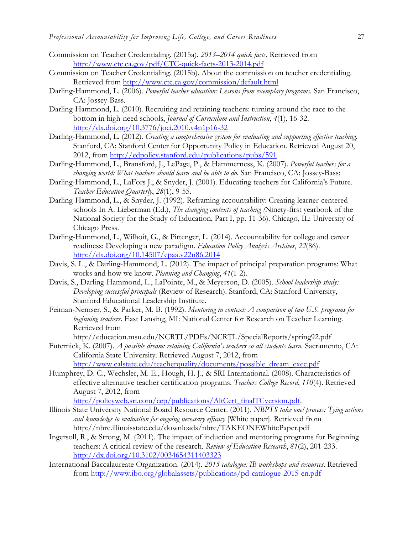- Commission on Teacher Credentialing. (2015a). *2013–2014 quick facts*. Retrieved from http://www.ctc.ca.gov/pdf/CTC-quick-facts-2013-2014.pdf
- Commission on Teacher Credentialing. (2015b). About the commission on teacher credentialing. Retrieved from http://www.ctc.ca.gov/commission/default.html
- Darling-Hammond, L. (2006). *Powerful teacher education: Lessons from exemplary programs.* San Francisco, CA: Jossey-Bass.
- Darling-Hammond, L. (2010). Recruiting and retaining teachers: turning around the race to the bottom in high-need schools, *Journal of Curriculum and Instruction*, *4*(1), 16-32. http://dx.doi.org/10.3776/joci.2010.v4n1p16-32
- Darling-Hammond, L. (2012). *Creating a comprehensive system for evaluating and supporting effective teaching.*  Stanford, CA: Stanford Center for Opportunity Policy in Education. Retrieved August 20, 2012, from http://edpolicy.stanford.edu/publications/pubs/591
- Darling-Hammond, L., Bransford, J., LePage, P., & Hammerness, K. (2007). *Powerful teachers for a changing world: What teachers should learn and be able to do.* San Francisco, CA: Jossey-Bass;
- Darling-Hammond, L., LaFors J., & Snyder, J. (2001). Educating teachers for California's Future. *Teacher Education Quarterly*, *28*(1), 9-55.
- Darling-Hammond, L., & Snyder, J. (1992). Reframing accountability: Creating learner-centered schools In A. Lieberman (Ed.), *The changing contexts of teaching (*Ninety-first yearbook of the National Society for the Study of Education, Part I, pp. 11-36). Chicago, IL: University of Chicago Press.
- Darling-Hammond, L., Wilhoit, G., & Pittenger, L. (2014). Accountability for college and career readiness: Developing a new paradigm. *Education Policy Analysis Archives*, *22*(86). http://dx.doi.org/10.14507/epaa.v22n86.2014
- Davis, S. L., & Darling-Hammond, L. (2012). The impact of principal preparation programs: What works and how we know. *Planning and Changing*, *41*(1-2).
- Davis, S., Darling-Hammond, L., LaPointe, M., & Meyerson, D. (2005). *School leadership study: Developing successful principals* (Review of Research). Stanford, CA: Stanford University, Stanford Educational Leadership Institute.
- Feiman-Nemser, S., & Parker, M. B. (1992). *Mentoring in context: A comparison of two U.S. programs for beginning teachers*. East Lansing, MI: National Center for Research on Teacher Learning. Retrieved from
	- http://education.msu.edu/NCRTL/PDFs/NCRTL/SpecialReports/spring92.pdf
- Futernick, K. (2007). *A possible dream: retaining California's teachers so all students learn.* Sacramento, CA: California State University. Retrieved August 7, 2012, from http://www.calstate.edu/teacherquality/documents/possible\_dream\_exec.pdf
- Humphrey, D. C., Wechsler, M. E., Hough, H. J., & SRI International. (2008). Characteristics of effective alternative teacher certification programs. *Teachers College Record*, *110*(4). Retrieved August 7, 2012, from

http://policyweb.sri.com/cep/publications/AltCert\_finalTCversion.pdf.

- Illinois State University National Board Resource Center. (2011). *NBPTS take one! process: Tying actions and knowledge to evaluation for ongoing necessary efficacy* [White paper]. Retrieved from http://nbrc.illinoisstate.edu/downloads/nbrc/TAKEONEWhitePaper.pdf
- Ingersoll, R., & Strong, M. (2011). The impact of induction and mentoring programs for Beginning teachers: A critical review of the research. *Review of Education Research*, *81*(2), 201-233. http://dx.doi.org/10.3102/0034654311403323
- International Baccalaureate Organization. (2014). *2015 catalogue: IB workshops and resources*. Retrieved from http://www.ibo.org/globalassets/publications/pd-catalogue-2015-en.pdf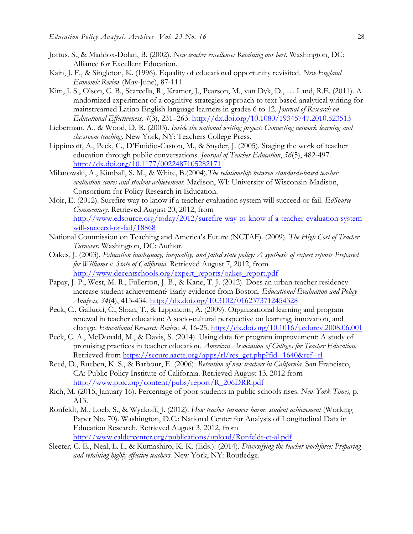- Joftus, S., & Maddox-Dolan, B. (2002). *New teacher excellence: Retaining our best*. Washington, DC: Alliance for Excellent Education.
- Kain, J. F., & Singleton, K. (1996). Equality of educational opportunity revisited. *New England Economic Review* (May-June), 87-111.
- Kim, J. S., Olson, C. B., Scarcella, R., Kramer, J., Pearson, M., van Dyk, D., … Land, R.E. (2011). A randomized experiment of a cognitive strategies approach to text-based analytical writing for mainstreamed Latino English language learners in grades 6 to 12. *Journal of Research on Educational Effectiveness, 4*(3), 231–263. http://dx.doi.org/10.1080/19345747.2010.523513
- Lieberman, A., & Wood, D. R. (2003). *Inside the national writing project: Connecting network learning and classroom teaching*. New York, NY: Teachers College Press.
- Lippincott, A., Peck, C., D'Emidio-Caston, M., & Snyder, J. (2005). Staging the work of teacher education through public conversations. *Journal of Teacher Education*, *56*(5), 482-497. http://dx.doi.org/10.1177/0022487105282171
- Milanowski, A., Kimball, S. M., & White, B.(2004).*The relationship between standards-based teacher evaluation scores and student achievement.* Madison, WI: University of Wisconsin-Madison, Consortium for Policy Research in Education.
- Moir, E. (2012). Surefire way to know if a teacher evaluation system will succeed or fail. *EdSource Commentary.* Retrieved August 20, 2012, from http://www.edsource.org/today/2012/surefire-way-to-know-if-a-teacher-evaluation-systemwill-succeed-or-fail/18868
- National Commission on Teaching and America's Future (NCTAF). (2009). *The High Cost of Teacher Turnover.* Washington, DC: Author.
- Oakes, J. (2003). *Education inadequacy, inequality, and failed state policy: A synthesis of expert reports Prepared for Williams v. State of California.* Retrieved August 7, 2012, from http://www.decentschools.org/expert\_reports/oakes\_report.pdf
- Papay, J. P., West, M. R., Fullerton, J. B., & Kane, T. J. (2012). Does an urban teacher residency increase student achievement? Early evidence from Boston. *Educational Evaluation and Policy Analysis, 34*(4), 413-434. http://dx.doi.org/10.3102/0162373712454328
- Peck, C., Gallucci, C., Sloan, T., & Lippincott, A. (2009). Organizational learning and program renewal in teacher education: A socio-cultural perspective on learning, innovation, and change. *Educational Research Review, 4*, 16-25. http://dx.doi.org/10.1016/j.edurev.2008.06.001
- Peck, C. A., McDonald, M., & Davis, S. (2014). Using data for program improvement: A study of promising practices in teacher education. *American Association of Colleges for Teacher Education.* Retrieved from https://secure.aacte.org/apps/rl/res\_get.php?fid=1640&ref=rl
- Reed, D., Rueben, K. S., & Barbour, E. (2006). *Retention of new teachers in California.* San Francisco, CA: Public Policy Institute of California. Retrieved August 13, 2012 from http://www.ppic.org/content/pubs/report/R\_206DRR.pdf
- Rich, M. (2015, January 16). Percentage of poor students in public schools rises. *New York Times,* p. A13.
- Ronfeldt, M., Loeb, S., & Wyckoff, J. (2012). *How teacher turnover harms student achievement* (Working Paper No. 70). Washington, D.C.: National Center for Analysis of Longitudinal Data in Education Research. Retrieved August 3, 2012, from http://www.caldercenter.org/publications/upload/Ronfeldt-et-al.pdf
- Sleeter, C. E., Neal, L. I., & Kumashiro, K. K. (Eds.). (2014). *Diversifying the teacher workforce: Preparing and retaining highly effective teachers*. New York, NY: Routledge.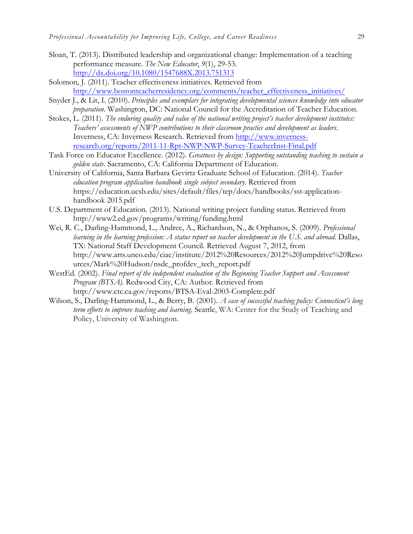- Sloan, T. (2013). Distributed leadership and organizational change: Implementation of a teaching performance measure. *The New Educator*, *9*(1), 29-53. http://dx.doi.org/10.1080/1547688X.2013.751313
- Solomon, J. (2011). Teacher effectiveness initiatives. Retrieved from http://www.bostonteacherresidency.org/comments/teacher\_effectiveness\_initiatives/
- Snyder J., & Lit, I. (2010). *Principles and exemplars for integrating developmental sciences knowledge into educator preparation*. Washington, DC: National Council for the Accreditation of Teacher Education.
- Stokes, L. (2011). *The enduring quality and value of the national writing project's teacher development institutes: Teachers' assessments of NWP contributions to their classroom practice and development as leaders*. Inverness, CA: Inverness Research. Retrieved from http://www.invernessresearch.org/reports/2011-11-Rpt-NWP-NWP-Survey-TeacherInst-Final.pdf
- Task Force on Educator Excellence. (2012). *Greatness by design: Supporting outstanding teaching to sustain a golden state*. Sacramento, CA: California Department of Education.
- University of California, Santa Barbara Gevirtz Graduate School of Education. (2014). *Teacher education program application handbook single subject secondary.* Retrieved from https://education.ucsb.edu/sites/default/files/tep/docs/handbooks/sst-applicationhandbook 2015.pdf
- U.S. Department of Education. (2013). National writing project funding status. Retrieved from http://www2.ed.gov/programs/writing/funding.html
- Wei, R. C., Darling-Hammond, L., Andree, A., Richardson, N., & Orphanos, S. (2009). *Professional learning in the learning profession: A status report on teacher development in the U.S. and abroad.* Dallas, TX: National Staff Development Council. Retrieved August 7, 2012, from http://www.arts.unco.edu/ciae/institute/2012%20Resources/2012%20Jumpdrive%20Reso urces/Mark%20Hudson/nsdc\_profdev\_tech\_report.pdf
- WestEd. (2002). *Final report of the independent evaluation of the Beginning Teacher Support and Assessment Program (BTSA).* Redwood City, CA: Author. Retrieved from http://www.ctc.ca.gov/reports/BTSA-Eval-2003-Complete.pdf
- Wilson, S., Darling-Hammond, L., & Berry, B. (2001). *A case of successful teaching policy: Connecticut's long term efforts to improve teaching and learning*. Seattle, WA: Center for the Study of Teaching and Policy, University of Washington.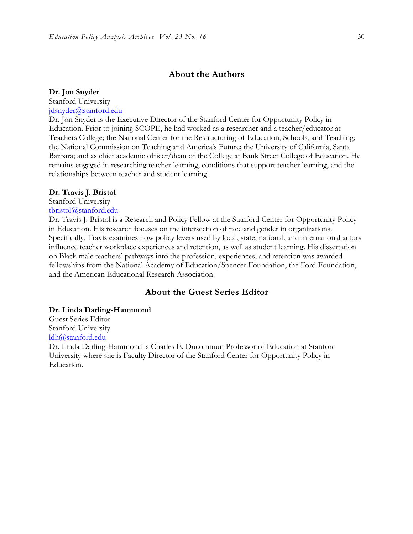## **About the Authors**

#### **Dr. Jon Snyder**

Stanford University jdsnyder@stanford.edu

Dr. Jon Snyder is the Executive Director of the Stanford Center for Opportunity Policy in Education. Prior to joining SCOPE, he had worked as a researcher and a teacher/educator at Teachers College; the National Center for the Restructuring of Education, Schools, and Teaching; the National Commission on Teaching and America's Future; the University of California, Santa Barbara; and as chief academic officer/dean of the College at Bank Street College of Education. He remains engaged in researching teacher learning, conditions that support teacher learning, and the relationships between teacher and student learning.

#### **Dr. Travis J. Bristol**

Stanford University

## tbristol@stanford.edu

Dr. Travis J. Bristol is a Research and Policy Fellow at the Stanford Center for Opportunity Policy in Education. His research focuses on the intersection of race and gender in organizations. Specifically, Travis examines how policy levers used by local, state, national, and international actors influence teacher workplace experiences and retention, as well as student learning. His dissertation on Black male teachers' pathways into the profession, experiences, and retention was awarded fellowships from the National Academy of Education/Spencer Foundation, the Ford Foundation, and the American Educational Research Association.

## **About the Guest Series Editor**

#### **Dr. Linda Darling-Hammond**

Guest Series Editor Stanford University ldh@stanford.edu

Dr. Linda Darling-Hammond is Charles E. Ducommun Professor of Education at Stanford University where she is Faculty Director of the Stanford Center for Opportunity Policy in Education.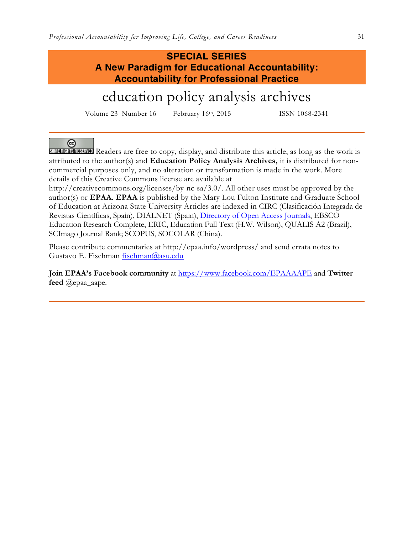## **SPECIAL SERIES A New Paradigm for Educational Accountability: Accountability for Professional Practice**

# education policy analysis archives

Volume 23 Number 16 February 16<sup>th</sup>, 2015 ISSN 1068-2341

 $(c<sub>c</sub>)$ 

SOME RIGHTS RESERVED Readers are free to copy, display, and distribute this article, as long as the work is attributed to the author(s) and **Education Policy Analysis Archives,** it is distributed for noncommercial purposes only, and no alteration or transformation is made in the work. More details of this Creative Commons license are available at

http://creativecommons.org/licenses/by-nc-sa/3.0/. All other uses must be approved by the author(s) or **EPAA**. **EPAA** is published by the Mary Lou Fulton Institute and Graduate School of Education at Arizona State University Articles are indexed in CIRC (Clasificación Integrada de Revistas Científicas, Spain), DIALNET (Spain), Directory of Open Access Journals, EBSCO Education Research Complete, ERIC, Education Full Text (H.W. Wilson), QUALIS A2 (Brazil), SCImago Journal Rank; SCOPUS, SOCOLAR (China).

Please contribute commentaries at http://epaa.info/wordpress/ and send errata notes to Gustavo E. Fischman fischman@asu.edu

**Join EPAA's Facebook community** at https://www.facebook.com/EPAAAAPE and **Twitter feed** @epaa\_aape.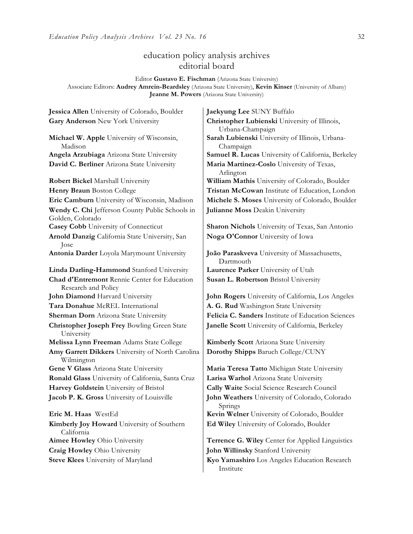## education policy analysis archives editorial board

Editor **Gustavo E. Fischman** (Arizona State University) Associate Editors: **Audrey Amrein-Beardsley** (Arizona State University), **Kevin Kinser** (University of Albany) **Jeanne M. Powers** (Arizona State University)

**Gary Anderson** New York University **Christopher Lubienski** University of Illinois, **Michael W. Apple** University of Wisconsin, Madison **David C. Berliner** Arizona State University **Maria Martinez-Coslo** University of Texas, **Robert Bickel Marshall University William Mathis University of Colorado, Boulder Wendy C. Chi** Jefferson County Public Schools in Golden, Colorado **Casey Cobb** University of Connecticut **Sharon Nichols** University of Texas, San Antonio **Arnold Danzig** California State University, San Jose **Antonia Darder** Loyola Marymount University **João Paraskveva** University of Massachusetts, **Linda Darling-Hammond** Stanford University **Laurence Parker** University of Utah **Chad d'Entremont** Rennie Center for Education Research and Policy **John Diamond** Harvard University **John Rogers** University of California, Los Angeles **Tara Donahue** McREL International **A. G. Rud** Washington State University **Sherman Dorn** Arizona State University **Felicia C. Sanders** Institute of Education Sciences **Christopher Joseph Frey** Bowling Green State University **Melissa Lynn Freeman** Adams State College **Kimberly Scott** Arizona State University **Amy Garrett Dikkers** University of North Carolina Wilmington **Gene V Glass** Arizona State University **Maria Teresa Tatto** Michigan State University **Ronald Glass** University of California, Santa Cruz **Larisa Warhol** Arizona State University **Harvey Goldstein** University of Bristol **Cally Waite** Social Science Research Council **Jacob P. K. Gross** University of Louisville **John Weathers** University of Colorado, Colorado **Eric M. Haas** WestEd **Kevin Welner** University of Colorado, Boulder **Kimberly Joy Howard** University of Southern California

**Jessica Allen** University of Colorado, Boulder **Jaekyung Lee** SUNY Buffalo Urbana-Champaign **Sarah Lubienski** University of Illinois, Urbana-Champaign **Angela Arzubiaga** Arizona State University **Samuel R. Lucas** University of California, Berkeley Arlington **Henry Braun** Boston College **Tristan McCowan** Institute of Education, London **Eric Camburn** University of Wisconsin, Madison **Michele S. Moses** University of Colorado, Boulder **Julianne Moss** Deakin University

**Noga O'Connor** University of Iowa

Dartmouth **Susan L. Robertson** Bristol University

**Janelle Scott** University of California, Berkeley

**Dorothy Shipps** Baruch College/CUNY

Springs **Ed Wiley** University of Colorado, Boulder

**Aimee Howley** Ohio University **Terrence G. Wiley** Center for Applied Linguistics **Craig Howley** Ohio University **John Willinsky** Stanford University

**Steve Klees** University of Maryland **Kyo Yamashiro** Los Angeles Education Research Institute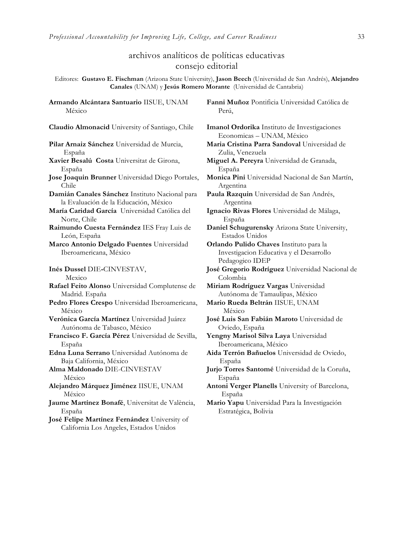## archivos analíticos de políticas educativas consejo editorial

Editores: **Gustavo E. Fischman** (Arizona State University), **Jason Beech** (Universidad de San Andrés), **Alejandro Canales** (UNAM) y **Jesús Romero Morante** (Universidad de Cantabria)

México **Claudio Almonacid** University of Santiago, Chile **Imanol Ordorika** Instituto de Investigaciones **Pilar Arnaiz Sánchez** Universidad de Murcia, España **Xavier Besalú Costa** Universitat de Girona, España **Jose Joaquin Brunner** Universidad Diego Portales, Chile **Damián Canales Sánchez** Instituto Nacional para la Evaluación de la Educación, México **María Caridad García** Universidad Católica del Norte, Chile **Raimundo Cuesta Fernández** IES Fray Luis de León, España **Marco Antonio Delgado Fuentes** Universidad Iberoamericana, México **Inés Dussel** DIE**-**CINVESTAV, Mexico **Rafael Feito Alonso** Universidad Complutense de Madrid. España **Pedro Flores Crespo** Universidad Iberoamericana, México **Verónica García Martínez** Universidad Juárez Autónoma de Tabasco, México **Francisco F. García Pérez** Universidad de Sevilla, España **Edna Luna Serrano** Universidad Autónoma de Baja California, México **Alma Maldonado** DIE-CINVESTAV México **Alejandro Márquez Jiménez** IISUE, UNAM México **Jaume Martínez Bonafé**, Universitat de València,

**Armando Alcántara Santuario** IISUE, UNAM

España **José Felipe Martínez Fernández** University of California Los Angeles, Estados Unidos

**Fanni Muñoz** Pontificia Universidad Católica de Perú,

Economicas – UNAM, México **Maria Cristina Parra Sandoval** Universidad de Zulia, Venezuela **Miguel A. Pereyra** Universidad de Granada, España **Monica Pini** Universidad Nacional de San Martín, Argentina **Paula Razquin** Universidad de San Andrés, Argentina **Ignacio Rivas Flores** Universidad de Málaga, España **Daniel Schugurensky** Arizona State University, Estados Unidos **Orlando Pulido Chaves** Instituto para la Investigacion Educativa y el Desarrollo Pedagogico IDEP **José Gregorio Rodríguez** Universidad Nacional de Colombia **Miriam Rodríguez Vargas** Universidad Autónoma de Tamaulipas, México **Mario Rueda Beltrán** IISUE, UNAM México **José Luis San Fabián Maroto** Universidad de Oviedo, España **Yengny Marisol Silva Laya** Universidad Iberoamericana, México **Aida Terrón Bañuelos** Universidad de Oviedo, España **Jurjo Torres Santomé** Universidad de la Coruña, España **Antoni Verger Planells** University of Barcelona, España **Mario Yapu** Universidad Para la Investigación Estratégica, Bolivia